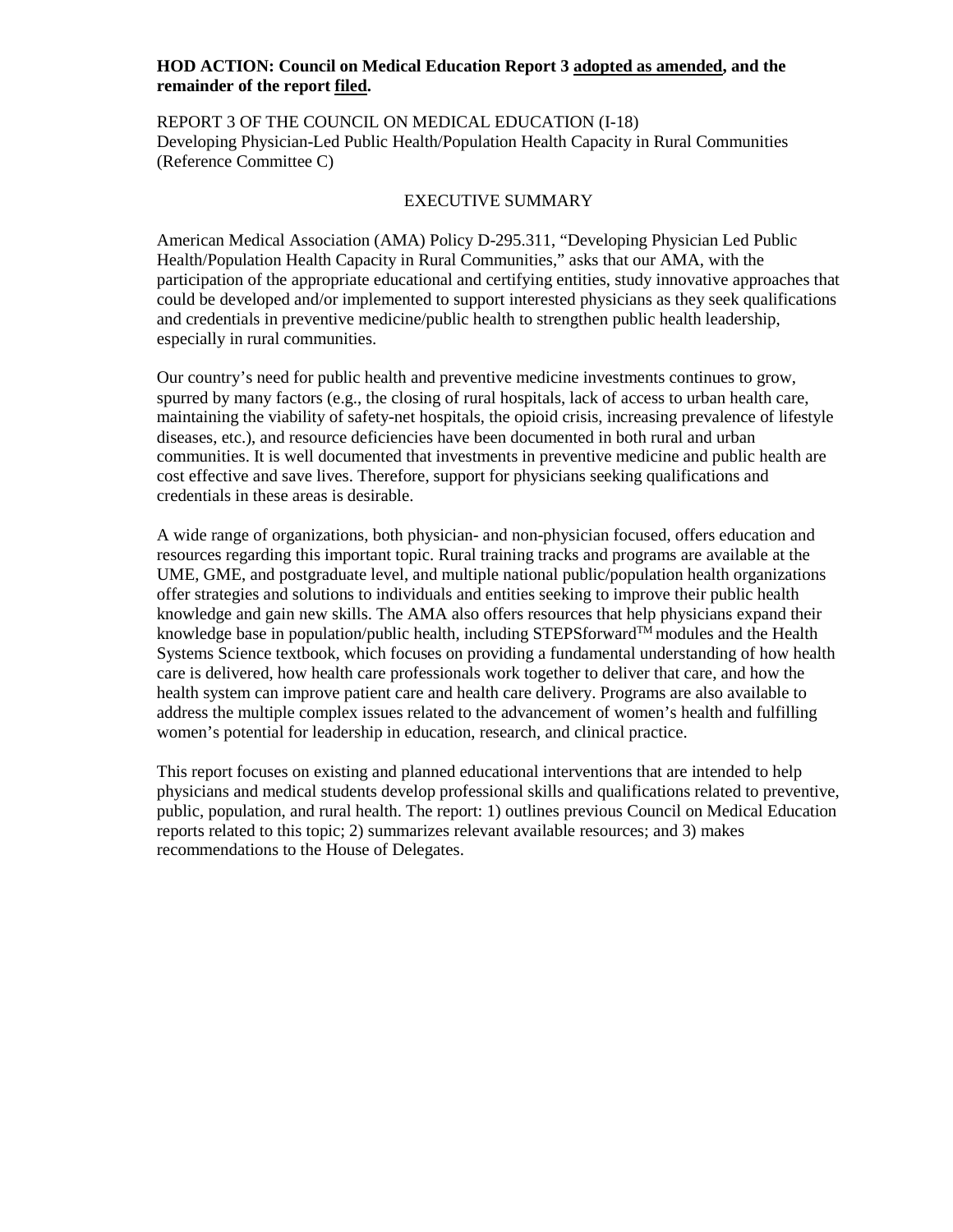#### **HOD ACTION: Council on Medical Education Report 3 adopted as amended, and the remainder of the report filed.**

REPORT 3 OF THE COUNCIL ON MEDICAL EDUCATION (I-18) Developing Physician-Led Public Health/Population Health Capacity in Rural Communities (Reference Committee C)

#### EXECUTIVE SUMMARY

American Medical Association (AMA) Policy D-295.311, "Developing Physician Led Public Health/Population Health Capacity in Rural Communities," asks that our AMA, with the participation of the appropriate educational and certifying entities, study innovative approaches that could be developed and/or implemented to support interested physicians as they seek qualifications and credentials in preventive medicine/public health to strengthen public health leadership, especially in rural communities.

Our country's need for public health and preventive medicine investments continues to grow, spurred by many factors (e.g., the closing of rural hospitals, lack of access to urban health care, maintaining the viability of safety-net hospitals, the opioid crisis, increasing prevalence of lifestyle diseases, etc.), and resource deficiencies have been documented in both rural and urban communities. It is well documented that investments in preventive medicine and public health are cost effective and save lives. Therefore, support for physicians seeking qualifications and credentials in these areas is desirable.

A wide range of organizations, both physician- and non-physician focused, offers education and resources regarding this important topic. Rural training tracks and programs are available at the UME, GME, and postgraduate level, and multiple national public/population health organizations offer strategies and solutions to individuals and entities seeking to improve their public health knowledge and gain new skills. The AMA also offers resources that help physicians expand their knowledge base in population/public health, including STEPSforward<sup>TM</sup> modules and the Health Systems Science textbook, which focuses on providing a fundamental understanding of how health care is delivered, how health care professionals work together to deliver that care, and how the health system can improve patient care and health care delivery. Programs are also available to address the multiple complex issues related to the advancement of women's health and fulfilling women's potential for leadership in education, research, and clinical practice.

This report focuses on existing and planned educational interventions that are intended to help physicians and medical students develop professional skills and qualifications related to preventive, public, population, and rural health. The report: 1) outlines previous Council on Medical Education reports related to this topic; 2) summarizes relevant available resources; and 3) makes recommendations to the House of Delegates.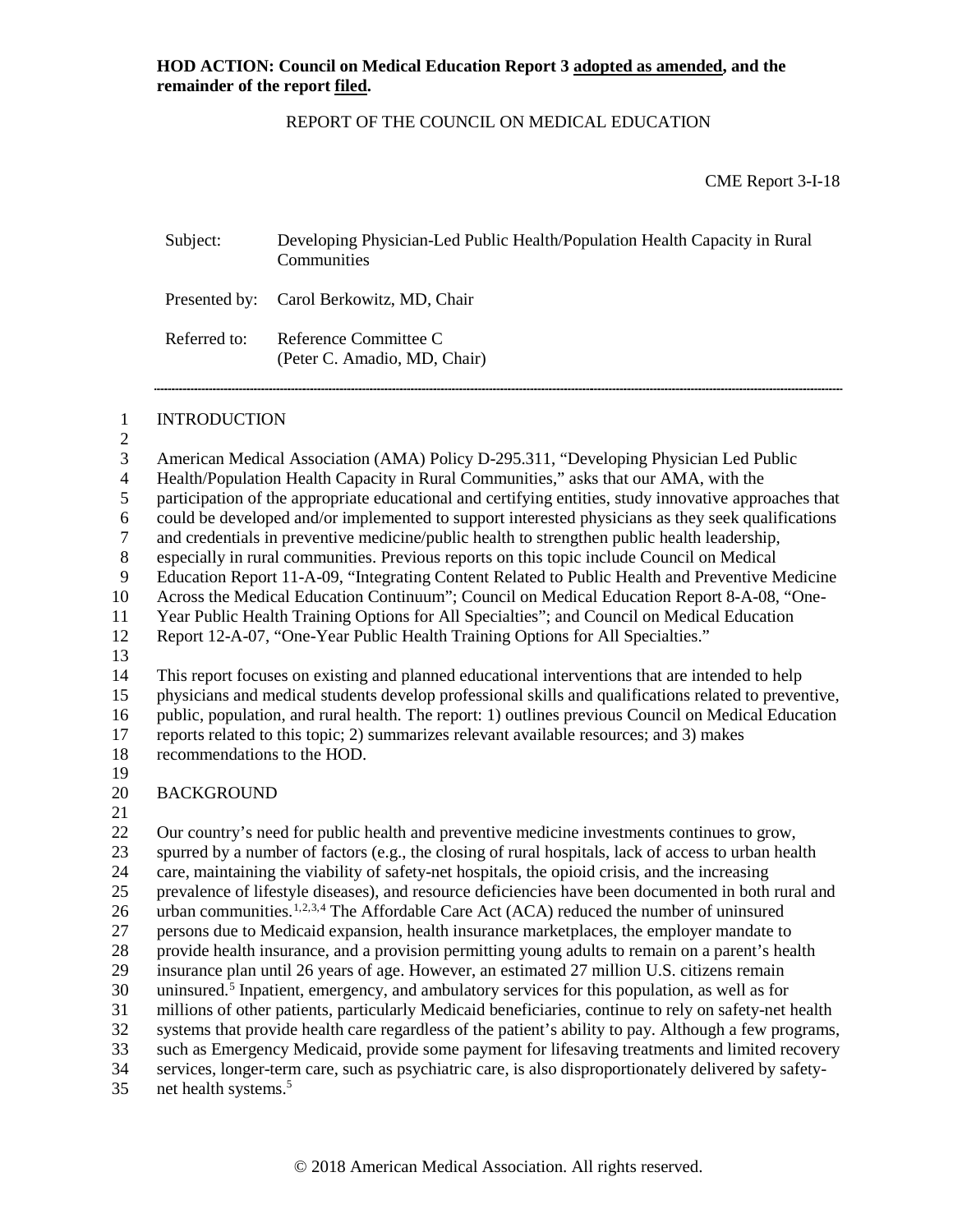#### REPORT OF THE COUNCIL ON MEDICAL EDUCATION

CME Report 3-I-18

| Subject:     | Developing Physician-Led Public Health/Population Health Capacity in Rural<br>Communities |  |  |  |
|--------------|-------------------------------------------------------------------------------------------|--|--|--|
|              | Presented by: Carol Berkowitz, MD, Chair                                                  |  |  |  |
| Referred to: | Reference Committee C<br>(Peter C. Amadio, MD, Chair)                                     |  |  |  |
| INTRODHCTION |                                                                                           |  |  |  |

# INTRODUCTION

American Medical Association (AMA) Policy D-295.311, "Developing Physician Led Public

Health/Population Health Capacity in Rural Communities," asks that our AMA, with the

participation of the appropriate educational and certifying entities, study innovative approaches that

could be developed and/or implemented to support interested physicians as they seek qualifications

7 and credentials in preventive medicine/public health to strengthen public health leadership,<br>8 especially in rural communities. Previous reports on this topic include Council on Medical

especially in rural communities. Previous reports on this topic include Council on Medical

Education Report 11-A-09, "Integrating Content Related to Public Health and Preventive Medicine

Across the Medical Education Continuum"; Council on Medical Education Report 8-A-08, "One-

Year Public Health Training Options for All Specialties"; and Council on Medical Education

Report 12-A-07, "One-Year Public Health Training Options for All Specialties."

 This report focuses on existing and planned educational interventions that are intended to help physicians and medical students develop professional skills and qualifications related to preventive,

 public, population, and rural health. The report: 1) outlines previous Council on Medical Education reports related to this topic; 2) summarizes relevant available resources; and 3) makes

recommendations to the HOD.

BACKGROUND

 Our country's need for public health and preventive medicine investments continues to grow, 23 spurred by a number of factors (e.g., the closing of rural hospitals, lack of access to urban health care, maintaining the viability of safety-net hospitals, the opioid crisis, and the increasing care, maintaining the viability of safety-net hospitals, the opioid crisis, and the increasing prevalence of lifestyle diseases), and resource deficiencies have been documented in both rural and 26 urban communities.<sup>[1](#page-19-0),[2,](#page-19-1)[3,](#page-19-2)[4](#page-19-3)</sup> The Affordable Care Act (ACA) reduced the number of uninsured persons due to Medicaid expansion, health insurance marketplaces, the employer mandate to provide health insurance, and a provision permitting young adults to remain on a parent's health insurance plan until 26 years of age. However, an estimated 27 million U.S. citizens remain uninsured.[5](#page-19-4) Inpatient, emergency, and ambulatory services for this population, as well as for millions of other patients, particularly Medicaid beneficiaries, continue to rely on safety-net health systems that provide health care regardless of the patient's ability to pay. Although a few programs, such as Emergency Medicaid, provide some payment for lifesaving treatments and limited recovery services, longer-term care, such as psychiatric care, is also disproportionately delivered by safety-

35 net health systems.<sup>5</sup>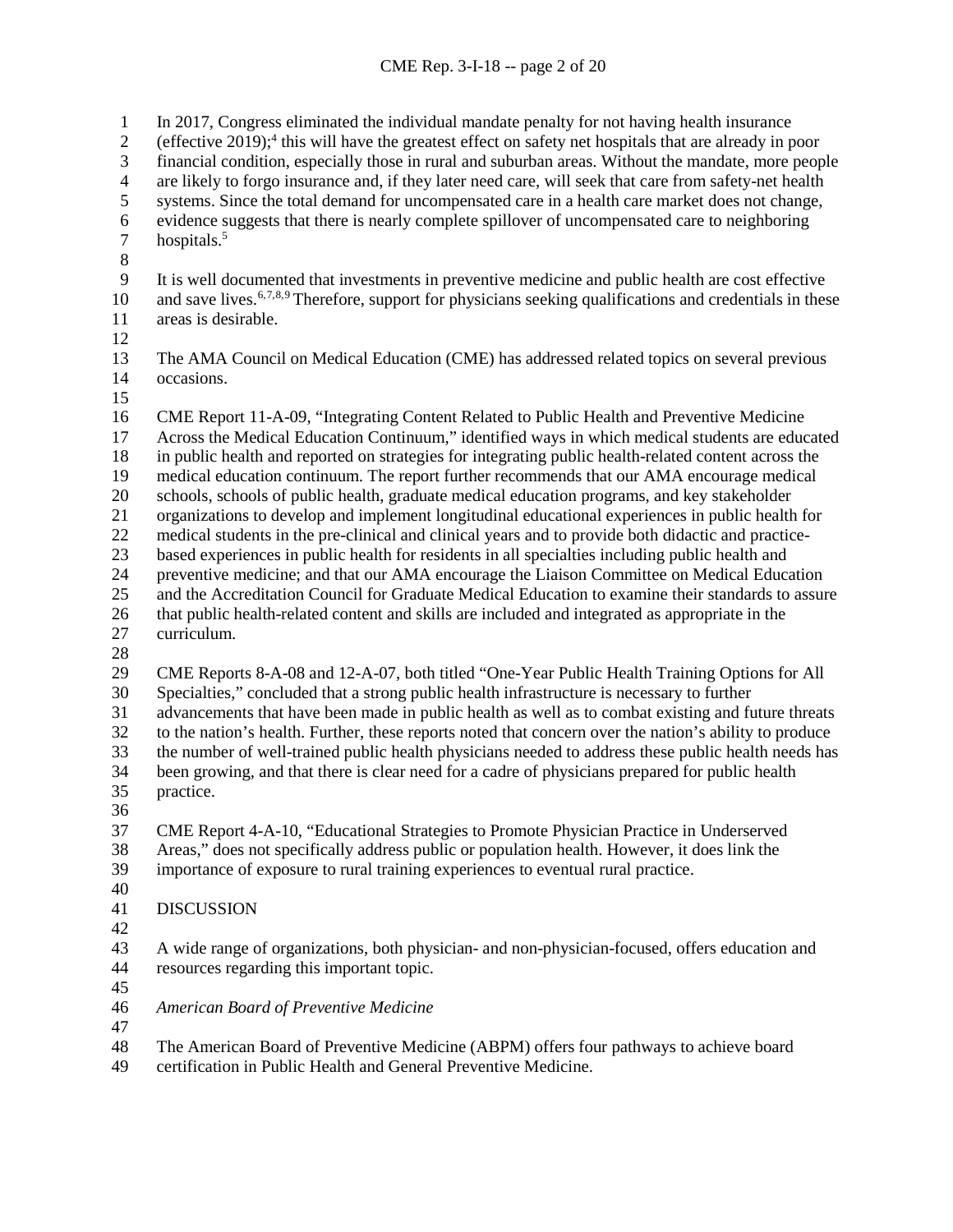1 In 2017, Congress eliminated the individual mandate penalty for not having health insurance<br>2 (effective 2019);<sup>4</sup> this will have the greatest effect on safety net hospitals that are already in p (effective );<sup>4</sup> this will have the greatest effect on safety net hospitals that are already in poor financial condition, especially those in rural and suburban areas. Without the mandate, more people 4 are likely to forgo insurance and, if they later need care, will seek that care from safety-net health systems. Since the total demand for uncompensated care in a health care market does not change, systems. Since the total demand for uncompensated care in a health care market does not change, 6 evidence suggests that there is nearly complete spillover of uncompensated care to neighboring hospitals.<sup>5</sup> hospitals.<sup>5</sup> 8<br>9 It is well documented that investments in preventive medicine and public health are cost effective 10 and save lives.<sup>[6](#page-19-5),[7,](#page-19-6)[8,](#page-19-7)[9](#page-19-8)</sup> Therefore, support for physicians seeking qualifications and credentials in these areas is desirable. 

- The AMA Council on Medical Education (CME) has addressed related topics on several previous occasions.
- 

CME Report 11-A-09, "Integrating Content Related to Public Health and Preventive Medicine

 Across the Medical Education Continuum," identified ways in which medical students are educated in public health and reported on strategies for integrating public health-related content across the

medical education continuum. The report further recommends that our AMA encourage medical

- schools, schools of public health, graduate medical education programs, and key stakeholder
- organizations to develop and implement longitudinal educational experiences in public health for

medical students in the pre-clinical and clinical years and to provide both didactic and practice-

- 23 based experiences in public health for residents in all specialties including public health and<br>24 preventive medicine; and that our AMA encourage the Liaison Committee on Medical Educa
- preventive medicine; and that our AMA encourage the Liaison Committee on Medical Education
- and the Accreditation Council for Graduate Medical Education to examine their standards to assure
- that public health-related content and skills are included and integrated as appropriate in the curriculum.
- 

 CME Reports 8-A-08 and 12-A-07, both titled "One-Year Public Health Training Options for All Specialties," concluded that a strong public health infrastructure is necessary to further advancements that have been made in public health as well as to combat existing and future threats to the nation's health. Further, these reports noted that concern over the nation's ability to produce the number of well-trained public health physicians needed to address these public health needs has

- been growing, and that there is clear need for a cadre of physicians prepared for public health practice.
- 

 CME Report 4-A-10, "Educational Strategies to Promote Physician Practice in Underserved Areas," does not specifically address public or population health. However, it does link the importance of exposure to rural training experiences to eventual rural practice.

- 
- DISCUSSION
- 

 A wide range of organizations, both physician- and non-physician-focused, offers education and resources regarding this important topic.

*American Board of Preventive Medicine* 

- The American Board of Preventive Medicine (ABPM) offers four pathways to achieve board
- certification in Public Health and General Preventive Medicine.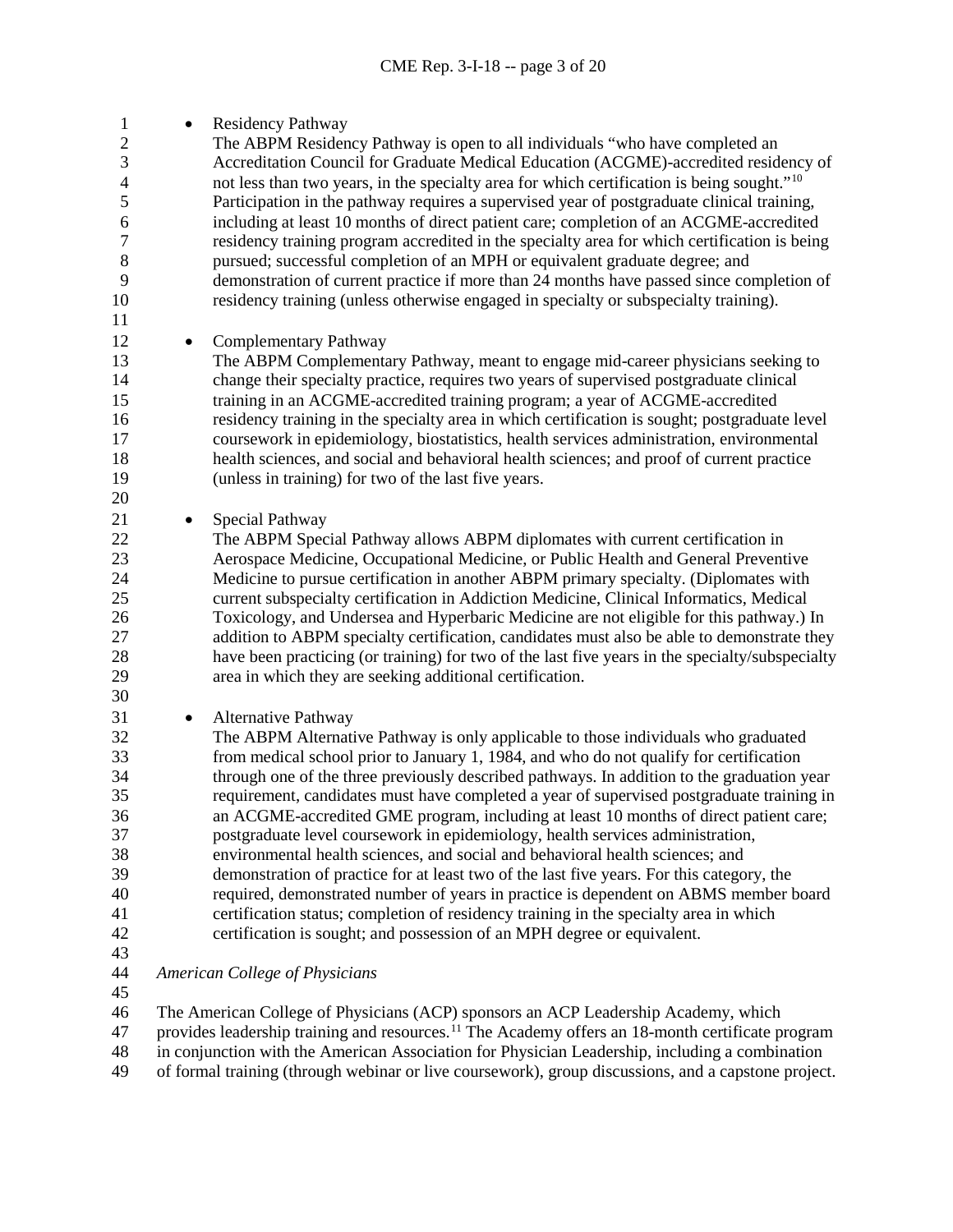| $\mathbf 1$<br>$\overline{\mathbf{c}}$<br>3<br>4<br>5<br>6<br>$\boldsymbol{7}$<br>$8\,$<br>9<br>10<br>11 | Residency Pathway<br>$\bullet$<br>The ABPM Residency Pathway is open to all individuals "who have completed an<br>Accreditation Council for Graduate Medical Education (ACGME)-accredited residency of<br>not less than two years, in the specialty area for which certification is being sought." <sup>10</sup><br>Participation in the pathway requires a supervised year of postgraduate clinical training,<br>including at least 10 months of direct patient care; completion of an ACGME-accredited<br>residency training program accredited in the specialty area for which certification is being<br>pursued; successful completion of an MPH or equivalent graduate degree; and<br>demonstration of current practice if more than 24 months have passed since completion of<br>residency training (unless otherwise engaged in specialty or subspecialty training).                                                                                                                                                     |
|----------------------------------------------------------------------------------------------------------|---------------------------------------------------------------------------------------------------------------------------------------------------------------------------------------------------------------------------------------------------------------------------------------------------------------------------------------------------------------------------------------------------------------------------------------------------------------------------------------------------------------------------------------------------------------------------------------------------------------------------------------------------------------------------------------------------------------------------------------------------------------------------------------------------------------------------------------------------------------------------------------------------------------------------------------------------------------------------------------------------------------------------------|
| 12<br>13<br>14<br>15<br>16<br>17<br>18<br>19                                                             | <b>Complementary Pathway</b><br>٠<br>The ABPM Complementary Pathway, meant to engage mid-career physicians seeking to<br>change their specialty practice, requires two years of supervised postgraduate clinical<br>training in an ACGME-accredited training program; a year of ACGME-accredited<br>residency training in the specialty area in which certification is sought; postgraduate level<br>coursework in epidemiology, biostatistics, health services administration, environmental<br>health sciences, and social and behavioral health sciences; and proof of current practice<br>(unless in training) for two of the last five years.                                                                                                                                                                                                                                                                                                                                                                              |
| 20<br>21<br>22<br>23<br>24<br>25<br>26<br>27<br>28<br>29<br>30                                           | Special Pathway<br>٠<br>The ABPM Special Pathway allows ABPM diplomates with current certification in<br>Aerospace Medicine, Occupational Medicine, or Public Health and General Preventive<br>Medicine to pursue certification in another ABPM primary specialty. (Diplomates with<br>current subspecialty certification in Addiction Medicine, Clinical Informatics, Medical<br>Toxicology, and Undersea and Hyperbaric Medicine are not eligible for this pathway.) In<br>addition to ABPM specialty certification, candidates must also be able to demonstrate they<br>have been practicing (or training) for two of the last five years in the specialty/subspecialty<br>area in which they are seeking additional certification.                                                                                                                                                                                                                                                                                          |
| 31<br>32<br>33<br>34<br>35<br>36<br>37<br>38<br>39<br>40<br>41<br>42<br>43                               | <b>Alternative Pathway</b><br>٠<br>The ABPM Alternative Pathway is only applicable to those individuals who graduated<br>from medical school prior to January 1, 1984, and who do not qualify for certification<br>through one of the three previously described pathways. In addition to the graduation year<br>requirement, candidates must have completed a year of supervised postgraduate training in<br>an ACGME-accredited GME program, including at least 10 months of direct patient care;<br>postgraduate level coursework in epidemiology, health services administration,<br>environmental health sciences, and social and behavioral health sciences; and<br>demonstration of practice for at least two of the last five years. For this category, the<br>required, demonstrated number of years in practice is dependent on ABMS member board<br>certification status; completion of residency training in the specialty area in which<br>certification is sought; and possession of an MPH degree or equivalent. |
| 44<br>45                                                                                                 | American College of Physicians                                                                                                                                                                                                                                                                                                                                                                                                                                                                                                                                                                                                                                                                                                                                                                                                                                                                                                                                                                                                  |
| 46                                                                                                       | The American College of Physicians (ACP) sponsors an ACP Leadership Academy, which                                                                                                                                                                                                                                                                                                                                                                                                                                                                                                                                                                                                                                                                                                                                                                                                                                                                                                                                              |

47 provides leadership training and resources.<sup>[11](#page-19-10)</sup> The Academy offers an 18-month certificate program

<sup>18</sup> in conjunction with the American Association for Physician Leadership, including a combination<br>19 of formal training (through webinar or live coursework), group discussions, and a capstone projec

of formal training (through webinar or live coursework), group discussions, and a capstone project.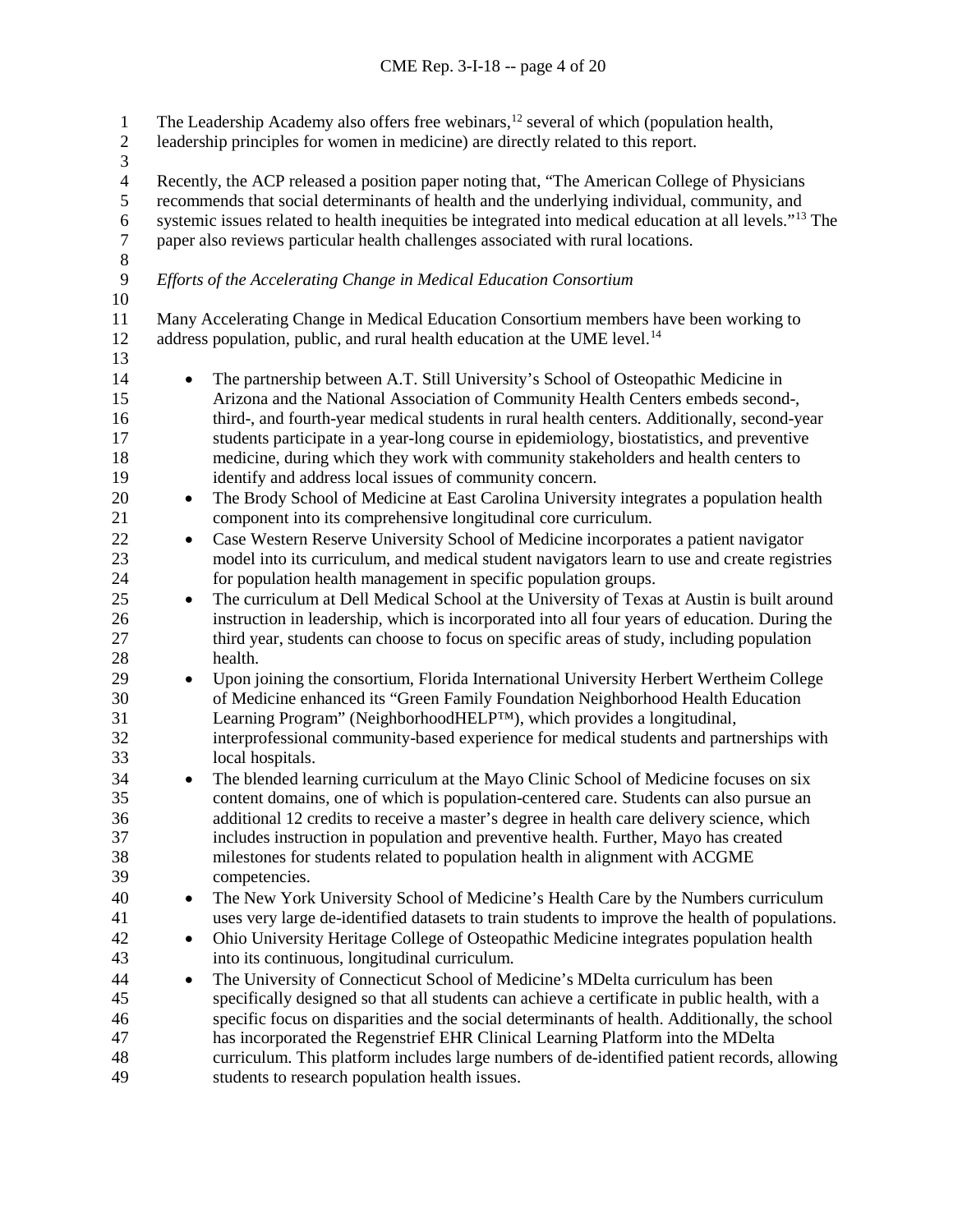| $\mathbf{1}$                                                         | The Leadership Academy also offers free webinars, <sup>12</sup> several of which (population health,                                                                                                                                                                                                                                                                                                   |                                                                                                                                                                                          |  |
|----------------------------------------------------------------------|--------------------------------------------------------------------------------------------------------------------------------------------------------------------------------------------------------------------------------------------------------------------------------------------------------------------------------------------------------------------------------------------------------|------------------------------------------------------------------------------------------------------------------------------------------------------------------------------------------|--|
| $\mathbf{2}$<br>3                                                    | leadership principles for women in medicine) are directly related to this report.                                                                                                                                                                                                                                                                                                                      |                                                                                                                                                                                          |  |
| $\overline{4}$<br>$\mathfrak{S}$<br>6<br>$\boldsymbol{7}$<br>$\,8\,$ | Recently, the ACP released a position paper noting that, "The American College of Physicians<br>recommends that social determinants of health and the underlying individual, community, and<br>systemic issues related to health inequities be integrated into medical education at all levels." <sup>13</sup> The<br>paper also reviews particular health challenges associated with rural locations. |                                                                                                                                                                                          |  |
| $\overline{9}$<br>$10\,$                                             |                                                                                                                                                                                                                                                                                                                                                                                                        | Efforts of the Accelerating Change in Medical Education Consortium                                                                                                                       |  |
| 11                                                                   |                                                                                                                                                                                                                                                                                                                                                                                                        | Many Accelerating Change in Medical Education Consortium members have been working to                                                                                                    |  |
| 12                                                                   |                                                                                                                                                                                                                                                                                                                                                                                                        | address population, public, and rural health education at the UME level. <sup>14</sup>                                                                                                   |  |
| 13                                                                   |                                                                                                                                                                                                                                                                                                                                                                                                        |                                                                                                                                                                                          |  |
| 14                                                                   | $\bullet$                                                                                                                                                                                                                                                                                                                                                                                              | The partnership between A.T. Still University's School of Osteopathic Medicine in                                                                                                        |  |
| 15                                                                   |                                                                                                                                                                                                                                                                                                                                                                                                        | Arizona and the National Association of Community Health Centers embeds second-,                                                                                                         |  |
| 16<br>17                                                             |                                                                                                                                                                                                                                                                                                                                                                                                        | third-, and fourth-year medical students in rural health centers. Additionally, second-year<br>students participate in a year-long course in epidemiology, biostatistics, and preventive |  |
| 18                                                                   |                                                                                                                                                                                                                                                                                                                                                                                                        | medicine, during which they work with community stakeholders and health centers to                                                                                                       |  |
| 19                                                                   |                                                                                                                                                                                                                                                                                                                                                                                                        | identify and address local issues of community concern.                                                                                                                                  |  |
| 20                                                                   | $\bullet$                                                                                                                                                                                                                                                                                                                                                                                              | The Brody School of Medicine at East Carolina University integrates a population health                                                                                                  |  |
| 21                                                                   |                                                                                                                                                                                                                                                                                                                                                                                                        | component into its comprehensive longitudinal core curriculum.                                                                                                                           |  |
| 22                                                                   | $\bullet$                                                                                                                                                                                                                                                                                                                                                                                              | Case Western Reserve University School of Medicine incorporates a patient navigator                                                                                                      |  |
| 23                                                                   |                                                                                                                                                                                                                                                                                                                                                                                                        | model into its curriculum, and medical student navigators learn to use and create registries                                                                                             |  |
| 24                                                                   |                                                                                                                                                                                                                                                                                                                                                                                                        | for population health management in specific population groups.                                                                                                                          |  |
| 25                                                                   | $\bullet$                                                                                                                                                                                                                                                                                                                                                                                              | The curriculum at Dell Medical School at the University of Texas at Austin is built around                                                                                               |  |
| 26                                                                   |                                                                                                                                                                                                                                                                                                                                                                                                        | instruction in leadership, which is incorporated into all four years of education. During the                                                                                            |  |
| 27                                                                   |                                                                                                                                                                                                                                                                                                                                                                                                        | third year, students can choose to focus on specific areas of study, including population                                                                                                |  |
| 28                                                                   |                                                                                                                                                                                                                                                                                                                                                                                                        | health.                                                                                                                                                                                  |  |
| 29                                                                   | $\bullet$                                                                                                                                                                                                                                                                                                                                                                                              | Upon joining the consortium, Florida International University Herbert Wertheim College                                                                                                   |  |
| 30                                                                   |                                                                                                                                                                                                                                                                                                                                                                                                        | of Medicine enhanced its "Green Family Foundation Neighborhood Health Education                                                                                                          |  |
| 31                                                                   |                                                                                                                                                                                                                                                                                                                                                                                                        | Learning Program" (NeighborhoodHELP <sup>TM</sup> ), which provides a longitudinal,                                                                                                      |  |
| 32                                                                   |                                                                                                                                                                                                                                                                                                                                                                                                        | interprofessional community-based experience for medical students and partnerships with                                                                                                  |  |
| 33                                                                   |                                                                                                                                                                                                                                                                                                                                                                                                        | local hospitals.                                                                                                                                                                         |  |
| 34                                                                   | $\bullet$                                                                                                                                                                                                                                                                                                                                                                                              | The blended learning curriculum at the Mayo Clinic School of Medicine focuses on six                                                                                                     |  |
| 35                                                                   |                                                                                                                                                                                                                                                                                                                                                                                                        | content domains, one of which is population-centered care. Students can also pursue an                                                                                                   |  |
| 36                                                                   |                                                                                                                                                                                                                                                                                                                                                                                                        | additional 12 credits to receive a master's degree in health care delivery science, which                                                                                                |  |
| 37                                                                   |                                                                                                                                                                                                                                                                                                                                                                                                        | includes instruction in population and preventive health. Further, Mayo has created                                                                                                      |  |
| 38                                                                   |                                                                                                                                                                                                                                                                                                                                                                                                        | milestones for students related to population health in alignment with ACGME                                                                                                             |  |
| 39                                                                   |                                                                                                                                                                                                                                                                                                                                                                                                        | competencies.                                                                                                                                                                            |  |
| 40                                                                   | ٠                                                                                                                                                                                                                                                                                                                                                                                                      | The New York University School of Medicine's Health Care by the Numbers curriculum                                                                                                       |  |
| 41<br>42                                                             |                                                                                                                                                                                                                                                                                                                                                                                                        | uses very large de-identified datasets to train students to improve the health of populations.                                                                                           |  |
| 43                                                                   | $\bullet$                                                                                                                                                                                                                                                                                                                                                                                              | Ohio University Heritage College of Osteopathic Medicine integrates population health<br>into its continuous, longitudinal curriculum.                                                   |  |
| 44                                                                   | $\bullet$                                                                                                                                                                                                                                                                                                                                                                                              | The University of Connecticut School of Medicine's MDelta curriculum has been                                                                                                            |  |
| 45                                                                   |                                                                                                                                                                                                                                                                                                                                                                                                        | specifically designed so that all students can achieve a certificate in public health, with a                                                                                            |  |
| 46                                                                   |                                                                                                                                                                                                                                                                                                                                                                                                        | specific focus on disparities and the social determinants of health. Additionally, the school                                                                                            |  |
| 47                                                                   |                                                                                                                                                                                                                                                                                                                                                                                                        | has incorporated the Regenstrief EHR Clinical Learning Platform into the MDelta                                                                                                          |  |
| 48                                                                   |                                                                                                                                                                                                                                                                                                                                                                                                        | curriculum. This platform includes large numbers of de-identified patient records, allowing                                                                                              |  |
| 49                                                                   |                                                                                                                                                                                                                                                                                                                                                                                                        | students to research population health issues.                                                                                                                                           |  |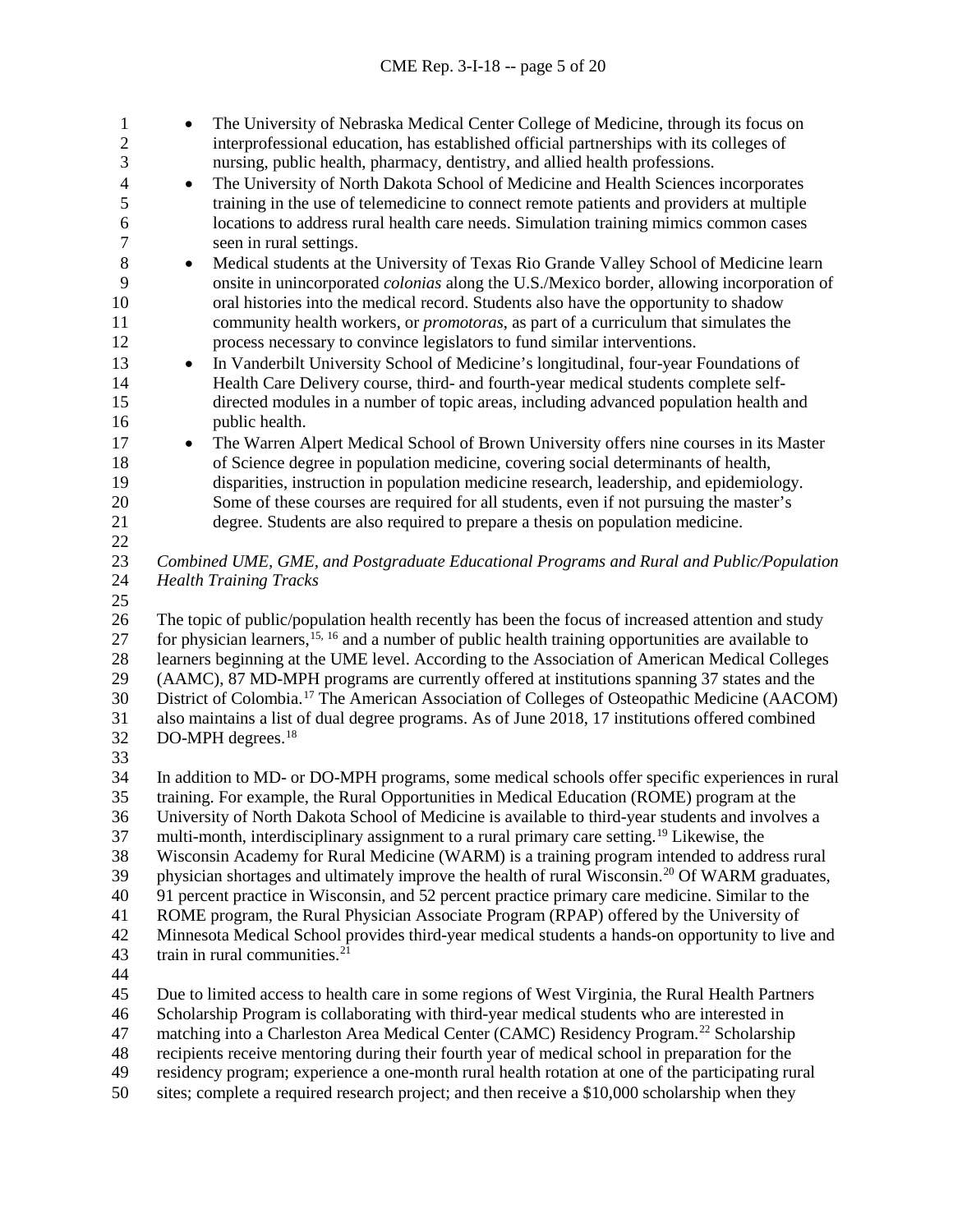| $\mathbf{1}$<br>$\boldsymbol{2}$ | The University of Nebraska Medical Center College of Medicine, through its focus on<br>$\bullet$<br>interprofessional education, has established official partnerships with its colleges of |
|----------------------------------|---------------------------------------------------------------------------------------------------------------------------------------------------------------------------------------------|
| 3                                | nursing, public health, pharmacy, dentistry, and allied health professions.                                                                                                                 |
| $\overline{4}$                   | The University of North Dakota School of Medicine and Health Sciences incorporates<br>$\bullet$                                                                                             |
| 5                                | training in the use of telemedicine to connect remote patients and providers at multiple                                                                                                    |
| 6                                |                                                                                                                                                                                             |
| $\tau$                           | locations to address rural health care needs. Simulation training mimics common cases                                                                                                       |
|                                  | seen in rural settings.                                                                                                                                                                     |
| $\,8\,$                          | Medical students at the University of Texas Rio Grande Valley School of Medicine learn<br>$\bullet$                                                                                         |
| 9                                | onsite in unincorporated <i>colonias</i> along the U.S./Mexico border, allowing incorporation of                                                                                            |
| 10                               | oral histories into the medical record. Students also have the opportunity to shadow                                                                                                        |
| 11<br>12                         | community health workers, or <i>promotoras</i> , as part of a curriculum that simulates the                                                                                                 |
|                                  | process necessary to convince legislators to fund similar interventions.                                                                                                                    |
| 13                               | In Vanderbilt University School of Medicine's longitudinal, four-year Foundations of<br>$\bullet$                                                                                           |
| 14                               | Health Care Delivery course, third- and fourth-year medical students complete self-                                                                                                         |
| 15                               | directed modules in a number of topic areas, including advanced population health and                                                                                                       |
| 16                               | public health.                                                                                                                                                                              |
| 17                               | The Warren Alpert Medical School of Brown University offers nine courses in its Master<br>$\bullet$                                                                                         |
| 18                               | of Science degree in population medicine, covering social determinants of health,                                                                                                           |
| 19                               | disparities, instruction in population medicine research, leadership, and epidemiology.                                                                                                     |
| 20                               | Some of these courses are required for all students, even if not pursuing the master's                                                                                                      |
| 21                               | degree. Students are also required to prepare a thesis on population medicine.                                                                                                              |
| 22                               |                                                                                                                                                                                             |
| 23                               | Combined UME, GME, and Postgraduate Educational Programs and Rural and Public/Population                                                                                                    |
| 24<br>25                         | <b>Health Training Tracks</b>                                                                                                                                                               |
| 26                               | The topic of public/population health recently has been the focus of increased attention and study                                                                                          |
| 27                               | for physician learners, <sup>15, 16</sup> and a number of public health training opportunities are available to                                                                             |
| 28                               | learners beginning at the UME level. According to the Association of American Medical Colleges                                                                                              |
| 29                               | (AAMC), 87 MD-MPH programs are currently offered at institutions spanning 37 states and the                                                                                                 |
| 30                               | District of Colombia. <sup>17</sup> The American Association of Colleges of Osteopathic Medicine (AACOM)                                                                                    |
| 31                               | also maintains a list of dual degree programs. As of June 2018, 17 institutions offered combined                                                                                            |
| 32                               | DO-MPH degrees. <sup>18</sup>                                                                                                                                                               |
| 33                               |                                                                                                                                                                                             |
| 34                               | In addition to MD- or DO-MPH programs, some medical schools offer specific experiences in rural                                                                                             |
| 35                               | training. For example, the Rural Opportunities in Medical Education (ROME) program at the                                                                                                   |
| 36                               | University of North Dakota School of Medicine is available to third-year students and involves a                                                                                            |
| 37                               | multi-month, interdisciplinary assignment to a rural primary care setting. <sup>19</sup> Likewise, the                                                                                      |
| 38                               | Wisconsin Academy for Rural Medicine (WARM) is a training program intended to address rural                                                                                                 |
| 39                               | physician shortages and ultimately improve the health of rural Wisconsin. <sup>20</sup> Of WARM graduates,                                                                                  |
| 40                               | 91 percent practice in Wisconsin, and 52 percent practice primary care medicine. Similar to the                                                                                             |
| 41                               | ROME program, the Rural Physician Associate Program (RPAP) offered by the University of                                                                                                     |
| 42                               | Minnesota Medical School provides third-year medical students a hands-on opportunity to live and                                                                                            |
| 43                               | train in rural communities. <sup>21</sup>                                                                                                                                                   |
| 44                               |                                                                                                                                                                                             |
| 45                               | Due to limited access to health care in some regions of West Virginia, the Rural Health Partners                                                                                            |
| 46                               | Scholarship Program is collaborating with third-year medical students who are interested in                                                                                                 |
| 47                               | matching into a Charleston Area Medical Center (CAMC) Residency Program. <sup>22</sup> Scholarship                                                                                          |
| 48                               | recipients receive mentoring during their fourth year of medical school in preparation for the                                                                                              |
| 49                               | residency program; experience a one-month rural health rotation at one of the participating rural                                                                                           |

sites; complete a required research project; and then receive a \$10,000 scholarship when they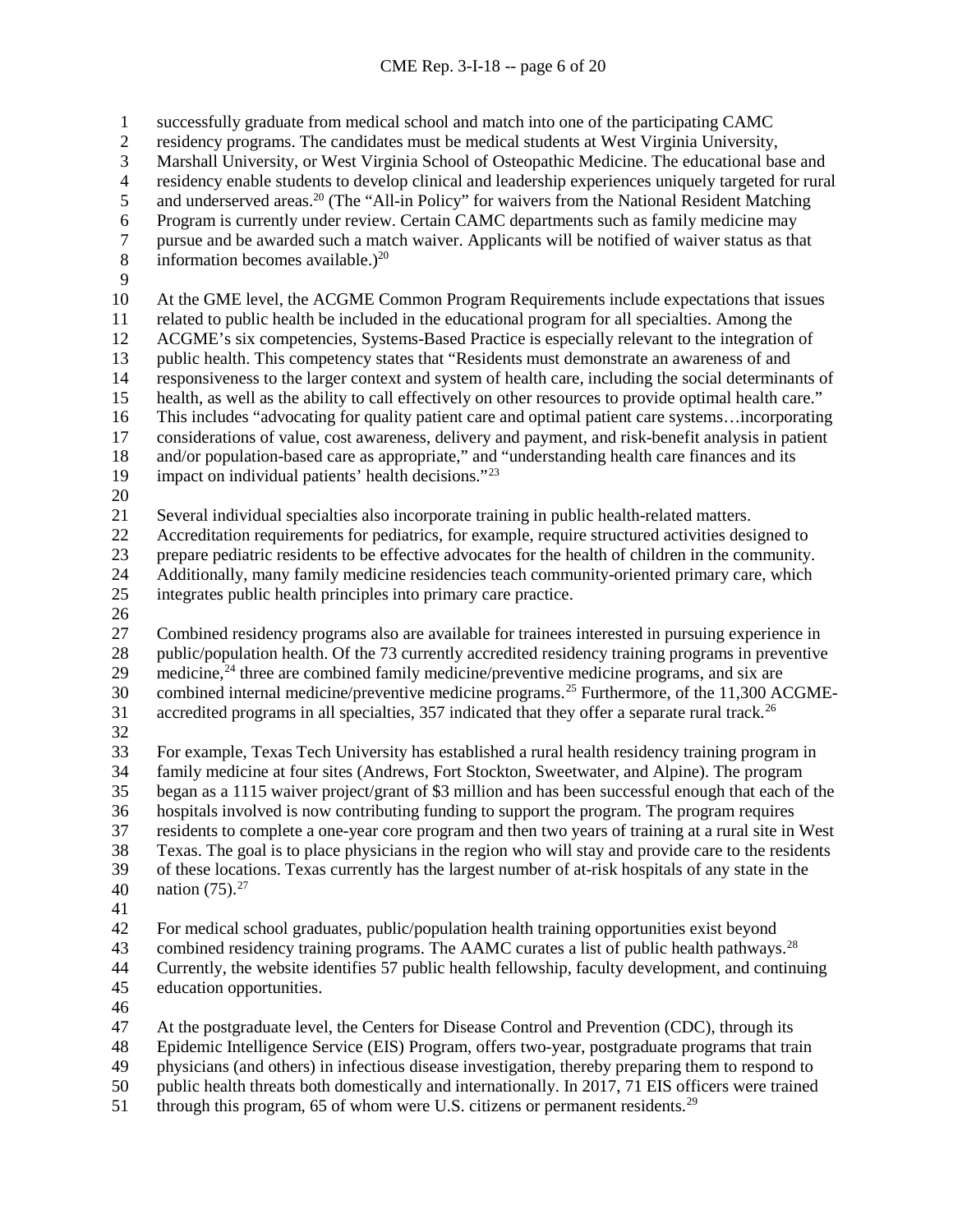1 successfully graduate from medical school and match into one of the participating CAMC<br>2 residency programs. The candidates must be medical students at West Virginia University. residency programs. The candidates must be medical students at West Virginia University, 3 Marshall University, or West Virginia School of Osteopathic Medicine. The educational base and<br>4 residency enable students to develop clinical and leadership experiences uniquely targeted for rura 4 residency enable students to develop clinical and leadership experiences uniquely targeted for rural<br>5 and underserved areas.<sup>20</sup> (The "All-in Policy" for waivers from the National Resident Matching and underserved areas.<sup>20</sup> (The "All-in Policy" for waivers from the National Resident Matching 6 Program is currently under review. Certain CAMC departments such as family medicine may<br>
pursue and be awarded such a match waiver. Applicants will be notified of waiver status as the 7 pursue and be awarded such a match waiver. Applicants will be notified of waiver status as that information becomes available.)<sup>20</sup> information becomes available.) $^{20}$  At the GME level, the ACGME Common Program Requirements include expectations that issues related to public health be included in the educational program for all specialties. Among the ACGME's six competencies, Systems-Based Practice is especially relevant to the integration of public health. This competency states that "Residents must demonstrate an awareness of and responsiveness to the larger context and system of health care, including the social determinants of health, as well as the ability to call effectively on other resources to provide optimal health care." This includes "advocating for quality patient care and optimal patient care systems…incorporating considerations of value, cost awareness, delivery and payment, and risk-benefit analysis in patient and/or population-based care as appropriate," and "understanding health care finances and its impact on individual patients' health decisions."[23](#page-20-3) Several individual specialties also incorporate training in public health-related matters. Accreditation requirements for pediatrics, for example, require structured activities designed to 23 prepare pediatric residents to be effective advocates for the health of children in the community.<br>24 Additionally, many family medicine residencies teach community-oriented primary care, which Additionally, many family medicine residencies teach community-oriented primary care, which integrates public health principles into primary care practice. Combined residency programs also are available for trainees interested in pursuing experience in 28 public/population health. Of the 73 currently accredited residency training programs in preventive 29 medicine, three are combined family medicine/preventive medicine programs, and six are 30 combined internal medicine/preventive medicine programs.<sup>[25](#page-20-5)</sup> Furthermore, of the 11,300 ACGME-31 accredited programs in all specialties, indicated that they offer a separate rural track.<sup>[26](#page-20-6)</sup> For example, Texas Tech University has established a rural health residency training program in family medicine at four sites (Andrews, Fort Stockton, Sweetwater, and Alpine). The program began as a 1115 waiver project/grant of \$3 million and has been successful enough that each of the hospitals involved is now contributing funding to support the program. The program requires residents to complete a one-year core program and then two years of training at a rural site in West Texas. The goal is to place physicians in the region who will stay and provide care to the residents of these locations. Texas currently has the largest number of at-risk hospitals of any state in the 40 nation  $(75)$ .<sup>[27](#page-20-7)</sup> For medical school graduates, public/population health training opportunities exist beyond 43 combined residency training programs. The AAMC curates a list of public health pathways.<sup>[28](#page-20-8)</sup> Currently, the website identifies 57 public health fellowship, faculty development, and continuing education opportunities. At the postgraduate level, the Centers for Disease Control and Prevention (CDC), through its Epidemic Intelligence Service (EIS) Program, offers two-year, postgraduate programs that train physicians (and others) in infectious disease investigation, thereby preparing them to respond to

- public health threats both domestically and internationally. In 2017, 71 EIS officers were trained
- 51 through this program, 65 of whom were U.S. citizens or permanent residents.<sup>[29](#page-20-9)</sup>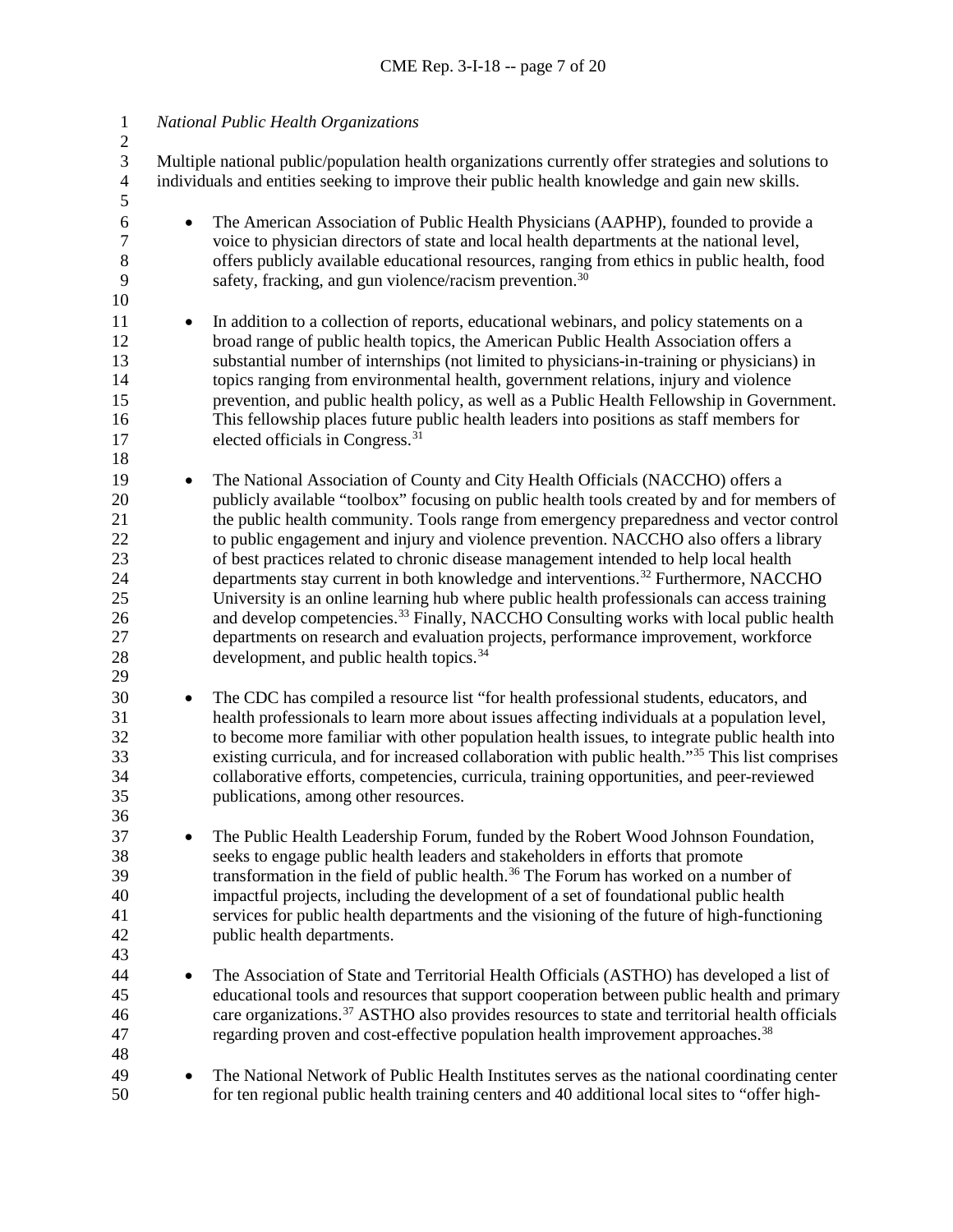*National Public Health Organizations* Multiple national public/population health organizations currently offer strategies and solutions to individuals and entities seeking to improve their public health knowledge and gain new skills. **•** The American Association of Public Health Physicians (AAPHP), founded to provide a voice to physician directors of state and local health departments at the national level. voice to physician directors of state and local health departments at the national level, offers publicly available educational resources, ranging from ethics in public health, food safety, fracking, and gun violence/racism prevention.[30](#page-20-10) • In addition to a collection of reports, educational webinars, and policy statements on a broad range of public health topics, the American Public Health Association offers a substantial number of internships (not limited to physicians-in-training or physicians) in topics ranging from environmental health, government relations, injury and violence prevention, and public health policy, as well as a Public Health Fellowship in Government. This fellowship places future public health leaders into positions as staff members for 17 elected officials in Congress.<sup>[31](#page-20-11)</sup> • The National Association of County and City Health Officials (NACCHO) offers a publicly available "toolbox" focusing on public health tools created by and for members of the public health community. Tools range from emergency preparedness and vector control 22 to public engagement and injury and violence prevention. NACCHO also offers a library of best practices related to chronic disease management intended to help local health 24 departments stay current in both knowledge and interventions.<sup>[32](#page-20-12)</sup> Furthermore, NACCHO 25 University is an online learning hub where public health professionals can access training<br>26 and develop competencies.<sup>33</sup> Finally, NACCHO Consulting works with local public health and develop competencies.<sup>[33](#page-20-13)</sup> Finally, NACCHO Consulting works with local public health departments on research and evaluation projects, performance improvement, workforce 28 development, and public health topics.<sup>[34](#page-20-14)</sup> • The CDC has compiled a resource list "for health professional students, educators, and health professionals to learn more about issues affecting individuals at a population level, to become more familiar with other population health issues, to integrate public health into existing curricula, and for increased collaboration with public health."<sup>[35](#page-20-15)</sup> This list comprises collaborative efforts, competencies, curricula, training opportunities, and peer-reviewed publications, among other resources. • The Public Health Leadership Forum, funded by the Robert Wood Johnson Foundation, seeks to engage public health leaders and stakeholders in efforts that promote transformation in the field of public health.<sup>[36](#page-20-16)</sup> The Forum has worked on a number of 40 impactful projects, including the development of a set of foundational public health<br>41 services for public health departments and the visioning of the future of high-function services for public health departments and the visioning of the future of high-functioning public health departments. • The Association of State and Territorial Health Officials (ASTHO) has developed a list of educational tools and resources that support cooperation between public health and primary  $\alpha$  care organizations.<sup>[37](#page-20-17)</sup> ASTHO also provides resources to state and territorial health officials regarding proven and cost-effective population health improvement approaches.[38](#page-20-18) • The National Network of Public Health Institutes serves as the national coordinating center for ten regional public health training centers and 40 additional local sites to "offer high-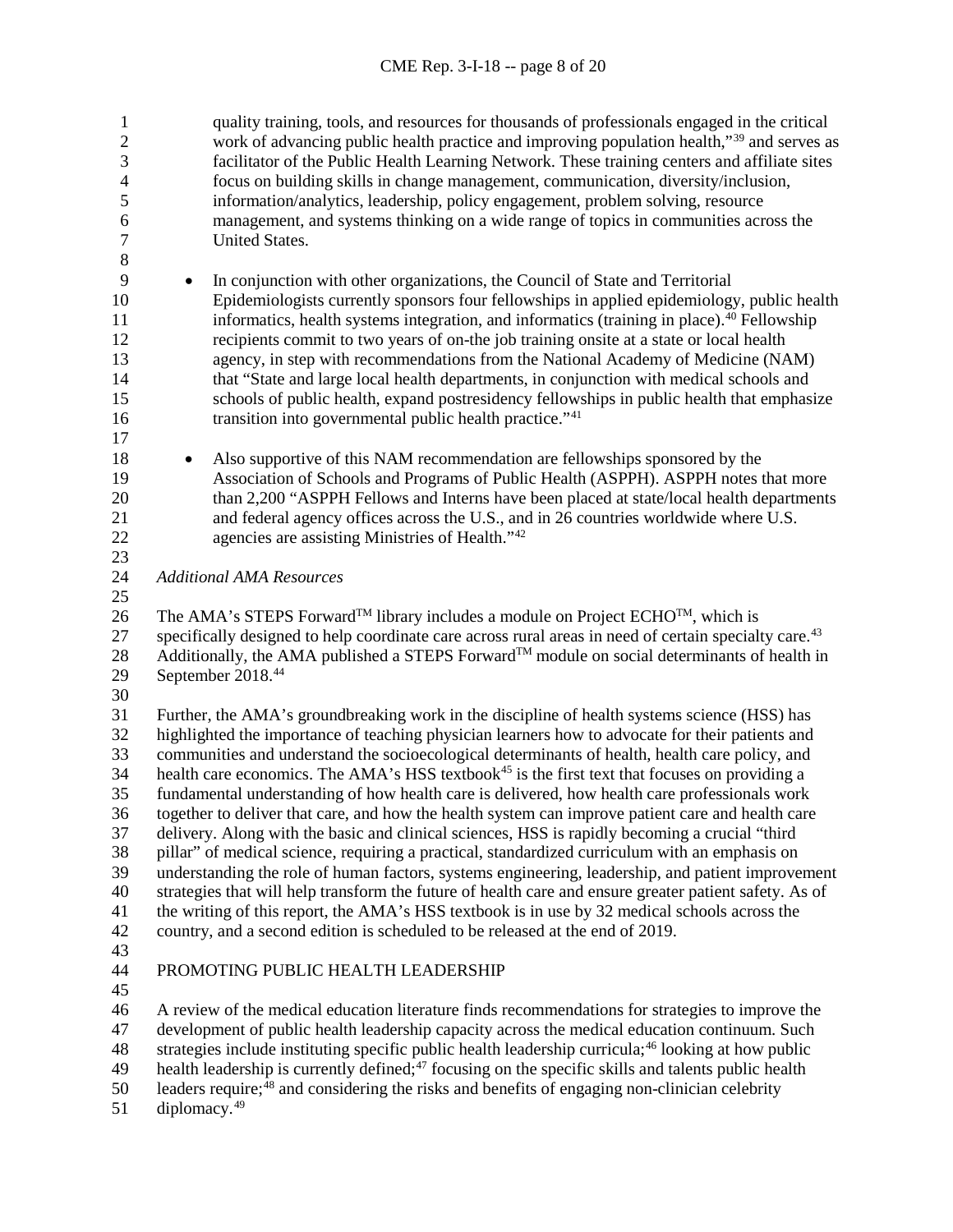quality training, tools, and resources for thousands of professionals engaged in the critical<br>2 work of advancing public health practice and improving population health,"<sup>39</sup> and serves a work of advancing public health practice and improving population health," and serves as 3 facilitator of the Public Health Learning Network. These training centers and affiliate sites<br>4 focus on building skills in change management, communication, diversity/inclusion, 4 focus on building skills in change management, communication, diversity/inclusion, information/analytics, leadership, policy engagement, problem solving, resource information/analytics, leadership, policy engagement, problem solving, resource management, and systems thinking on a wide range of topics in communities across the United States. 9 • In conjunction with other organizations, the Council of State and Territorial 10 Epidemiologists currently sponsors four fellowships in applied epidemiology Epidemiologists currently sponsors four fellowships in applied epidemiology, public health 11 informatics, health systems integration, and informatics (training in place).<sup>[40](#page-20-20)</sup> Fellowship recipients commit to two years of on-the job training onsite at a state or local health agency, in step with recommendations from the National Academy of Medicine (NAM) that "State and large local health departments, in conjunction with medical schools and schools of public health, expand postresidency fellowships in public health that emphasize 16 transition into governmental public health practice."<sup>[41](#page-20-21)</sup> • Also supportive of this NAM recommendation are fellowships sponsored by the Association of Schools and Programs of Public Health (ASPPH). ASPPH notes that more than 2,200 "ASPPH Fellows and Interns have been placed at state/local health departments and federal agency offices across the U.S., and in 26 countries worldwide where U.S. agencies are assisting Ministries of Health."[42](#page-20-22) *Additional AMA Resources*  26 The AMA's STEPS Forward<sup>TM</sup> library includes a module on Project ECHO<sup>TM</sup>, which is 27 specifically designed to help coordinate care across rural areas in need of certain specialty care.<sup>[43](#page-20-0)</sup> 28 Additionally, the AMA published a STEPS Forward<sup>TM</sup> module on social determinants of health in 29 September 2018.<sup>[44](#page-20-23)</sup> Further, the AMA's groundbreaking work in the discipline of health systems science (HSS) has highlighted the importance of teaching physician learners how to advocate for their patients and communities and understand the socioecological determinants of health, health care policy, and health care economics. The AMA's HSS textbook<sup>[45](#page-20-2)</sup> is the first text that focuses on providing a fundamental understanding of how health care is delivered, how health care professionals work together to deliver that care, and how the health system can improve patient care and health care delivery. Along with the basic and clinical sciences, HSS is rapidly becoming a crucial "third pillar" of medical science, requiring a practical, standardized curriculum with an emphasis on understanding the role of human factors, systems engineering, leadership, and patient improvement strategies that will help transform the future of health care and ensure greater patient safety. As of the writing of this report, the AMA's HSS textbook is in use by 32 medical schools across the country, and a second edition is scheduled to be released at the end of 2019. PROMOTING PUBLIC HEALTH LEADERSHIP A review of the medical education literature finds recommendations for strategies to improve the development of public health leadership capacity across the medical education continuum. Such 48 strategies include instituting specific public health leadership curricula;<sup>[46](#page-20-24)</sup> looking at how public

49 health leadership is currently defined;<sup>47</sup> focusing on the specific skills and talents public health

50 leaders require; $^{48}$  and considering the risks and benefits of engaging non-clinician celebrity

51 diplomacy.<sup>[49](#page-20-4)</sup>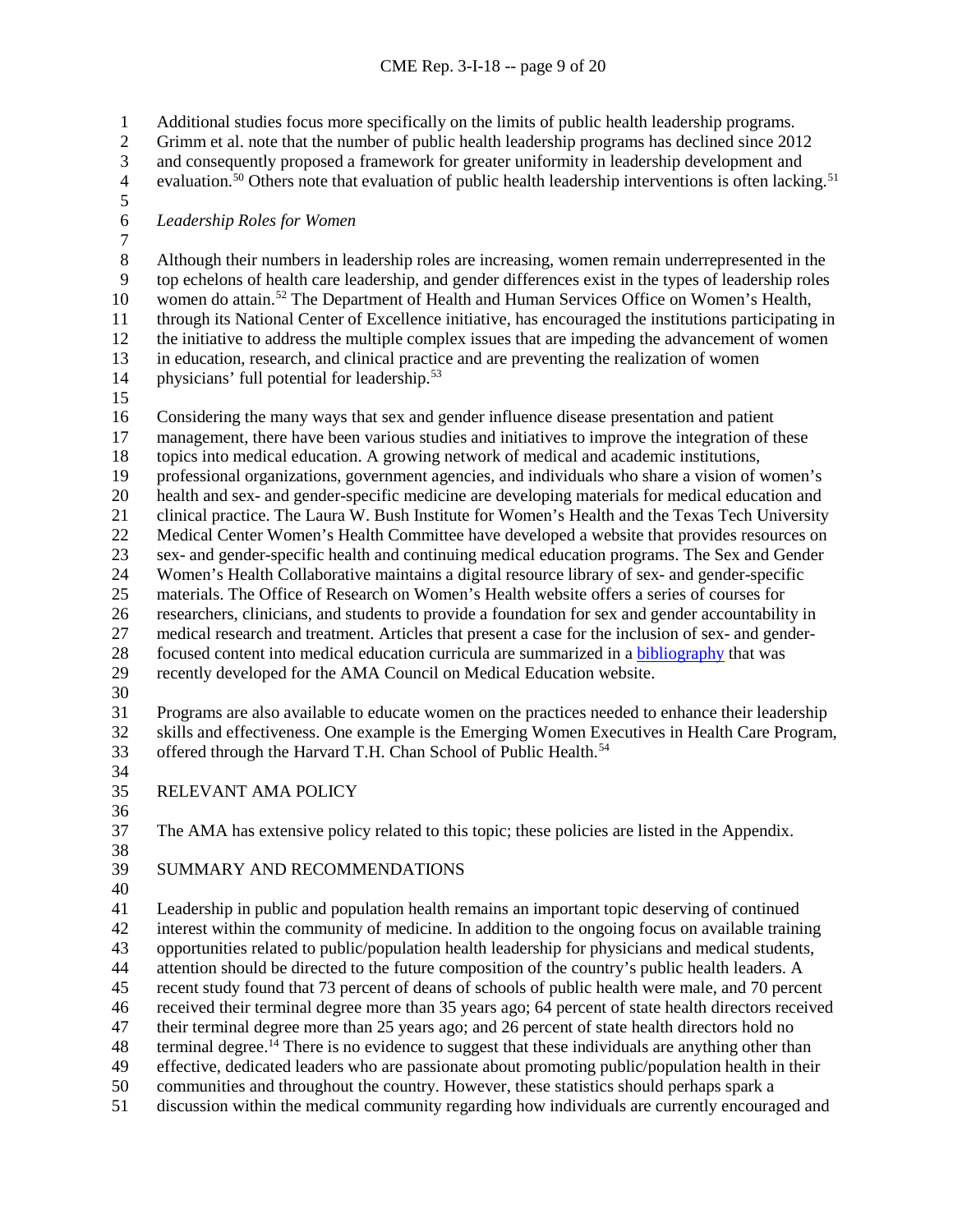1 Additional studies focus more specifically on the limits of public health leadership programs.<br>2 Grimm et al. note that the number of public health leadership programs has declined since 201

Grimm et al. note that the number of public health leadership programs has declined since 2012

3 and consequently proposed a framework for greater uniformity in leadership development and evaluation.<sup>50</sup> Others note that evaluation of public health leadership interventions is often lacki

evaluation.<sup>[50](#page-20-26)</sup> Others note that evaluation of public health leadership interventions is often lacking.<sup>[51](#page-20-7)</sup>

*Leadership Roles for Women*

 $\frac{7}{8}$ 8 Although their numbers in leadership roles are increasing, women remain underrepresented in the<br>9 top echelons of health care leadership, and gender differences exist in the types of leadership roles top echelons of health care leadership, and gender differences exist in the types of leadership roles 10 women do attain.<sup>[52](#page-20-8)</sup> The Department of Health and Human Services Office on Women's Health, through its National Center of Excellence initiative, has encouraged the institutions participating in the initiative to address the multiple complex issues that are impeding the advancement of women in education, research, and clinical practice and are preventing the realization of women 14 physicians' full potential for leadership.

 Considering the many ways that sex and gender influence disease presentation and patient management, there have been various studies and initiatives to improve the integration of these topics into medical education. A growing network of medical and academic institutions, professional organizations, government agencies, and individuals who share a vision of women's health and sex- and gender-specific medicine are developing materials for medical education and clinical practice. The Laura W. Bush Institute for Women's Health and the Texas Tech University Medical Center Women's Health Committee have developed a website that provides resources on 23 sex- and gender-specific health and continuing medical education programs. The Sex and Gender<br>24 Women's Health Collaborative maintains a digital resource library of sex- and gender-specific Women's Health Collaborative maintains a digital resource library of sex- and gender-specific materials. The Office of Research on Women's Health website offers a series of courses for researchers, clinicians, and students to provide a foundation for sex and gender accountability in medical research and treatment. Articles that present a case for the inclusion of sex- and gender- focused content into medical education curricula are summarized in a [bibliography](https://www.ama-assn.org/sites/default/files/media-browser/public/about-ama/councils/Council%20Reports/council-on-medical-education/sex-gender-based-medicine-bibliography.pdf) that was recently developed for the AMA Council on Medical Education website. 

 Programs are also available to educate women on the practices needed to enhance their leadership skills and effectiveness. One example is the Emerging Women Executives in Health Care Program, 33 offered through the Harvard T.H. Chan School of Public Health.<sup>[54](#page-20-28)</sup>

RELEVANT AMA POLICY

The AMA has extensive policy related to this topic; these policies are listed in the Appendix.

38<br>39

SUMMARY AND RECOMMENDATIONS

 Leadership in public and population health remains an important topic deserving of continued interest within the community of medicine. In addition to the ongoing focus on available training opportunities related to public/population health leadership for physicians and medical students, attention should be directed to the future composition of the country's public health leaders. A recent study found that 73 percent of deans of schools of public health were male, and 70 percent received their terminal degree more than 35 years ago; 64 percent of state health directors received their terminal degree more than 25 years ago; and 26 percent of state health directors hold no 48 terminal degree.<sup> $14$ </sup> There is no evidence to suggest that these individuals are anything other than effective, dedicated leaders who are passionate about promoting public/population health in their communities and throughout the country. However, these statistics should perhaps spark a discussion within the medical community regarding how individuals are currently encouraged and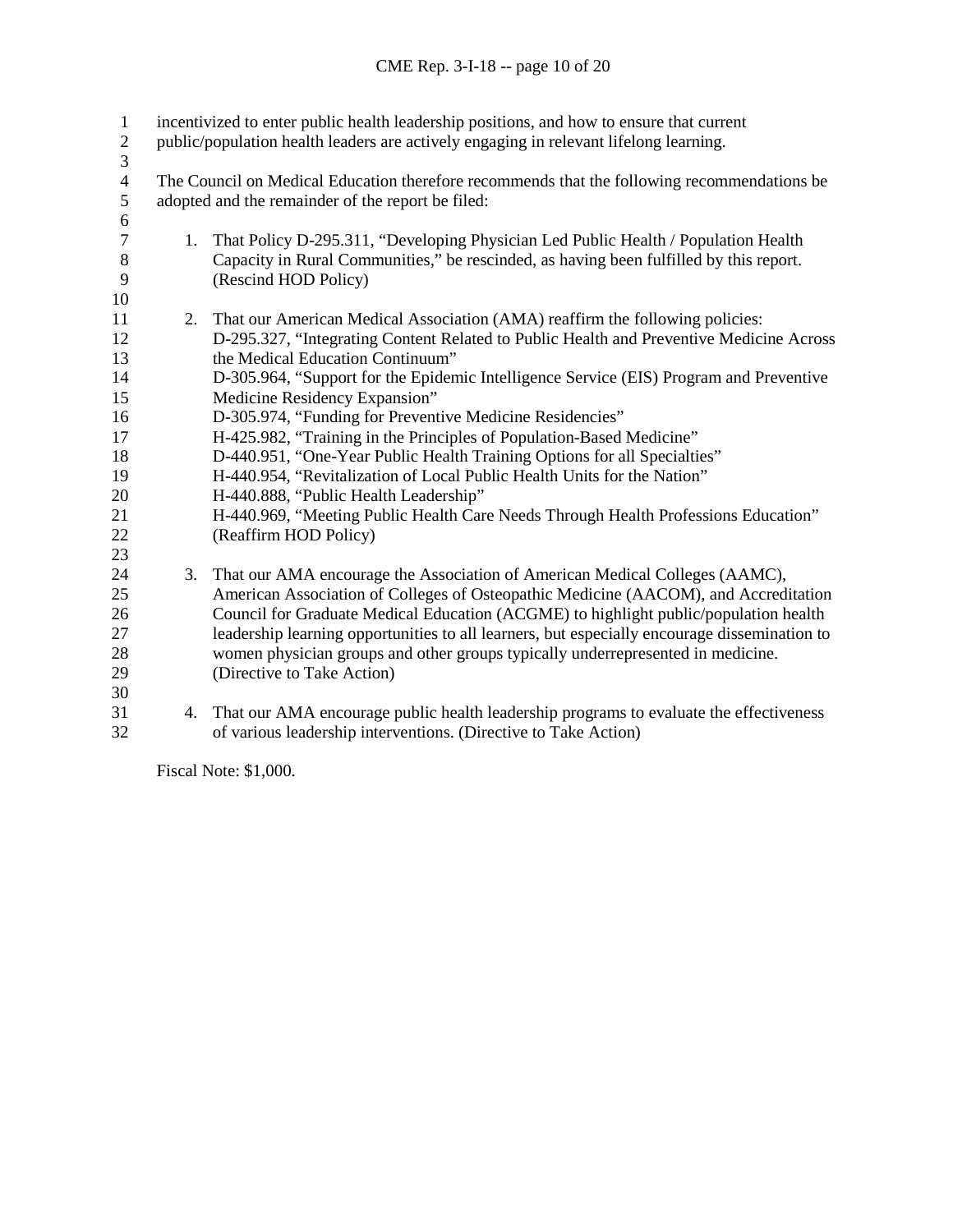| $\mathbf{1}$<br>$\mathbf{2}$<br>3 | incentivized to enter public health leadership positions, and how to ensure that current<br>public/population health leaders are actively engaging in relevant lifelong learning. |                                                                                              |  |  |
|-----------------------------------|-----------------------------------------------------------------------------------------------------------------------------------------------------------------------------------|----------------------------------------------------------------------------------------------|--|--|
| $\overline{4}$                    |                                                                                                                                                                                   | The Council on Medical Education therefore recommends that the following recommendations be  |  |  |
| $\mathfrak s$                     | adopted and the remainder of the report be filed:                                                                                                                                 |                                                                                              |  |  |
| 6                                 |                                                                                                                                                                                   |                                                                                              |  |  |
| $\overline{7}$                    | 1.                                                                                                                                                                                | That Policy D-295.311, "Developing Physician Led Public Health / Population Health           |  |  |
| 8                                 |                                                                                                                                                                                   | Capacity in Rural Communities," be rescinded, as having been fulfilled by this report.       |  |  |
| 9                                 |                                                                                                                                                                                   | (Rescind HOD Policy)                                                                         |  |  |
| 10                                |                                                                                                                                                                                   |                                                                                              |  |  |
| 11                                | 2.                                                                                                                                                                                | That our American Medical Association (AMA) reaffirm the following policies:                 |  |  |
| 12                                |                                                                                                                                                                                   | D-295.327, "Integrating Content Related to Public Health and Preventive Medicine Across      |  |  |
| 13                                |                                                                                                                                                                                   | the Medical Education Continuum"                                                             |  |  |
| 14                                |                                                                                                                                                                                   | D-305.964, "Support for the Epidemic Intelligence Service (EIS) Program and Preventive       |  |  |
| 15                                |                                                                                                                                                                                   | Medicine Residency Expansion"                                                                |  |  |
| 16                                |                                                                                                                                                                                   | D-305.974, "Funding for Preventive Medicine Residencies"                                     |  |  |
| 17                                |                                                                                                                                                                                   | H-425.982, "Training in the Principles of Population-Based Medicine"                         |  |  |
| 18                                |                                                                                                                                                                                   | D-440.951, "One-Year Public Health Training Options for all Specialties"                     |  |  |
| 19                                |                                                                                                                                                                                   | H-440.954, "Revitalization of Local Public Health Units for the Nation"                      |  |  |
| 20                                |                                                                                                                                                                                   | H-440.888, "Public Health Leadership"                                                        |  |  |
| 21                                |                                                                                                                                                                                   | H-440.969, "Meeting Public Health Care Needs Through Health Professions Education"           |  |  |
| 22                                |                                                                                                                                                                                   | (Reaffirm HOD Policy)                                                                        |  |  |
| 23                                |                                                                                                                                                                                   |                                                                                              |  |  |
| 24                                | 3.                                                                                                                                                                                | That our AMA encourage the Association of American Medical Colleges (AAMC),                  |  |  |
| 25                                |                                                                                                                                                                                   | American Association of Colleges of Osteopathic Medicine (AACOM), and Accreditation          |  |  |
| 26                                |                                                                                                                                                                                   | Council for Graduate Medical Education (ACGME) to highlight public/population health         |  |  |
| 27                                |                                                                                                                                                                                   | leadership learning opportunities to all learners, but especially encourage dissemination to |  |  |
| 28                                |                                                                                                                                                                                   | women physician groups and other groups typically underrepresented in medicine.              |  |  |
| 29                                |                                                                                                                                                                                   | (Directive to Take Action)                                                                   |  |  |
| 30                                |                                                                                                                                                                                   |                                                                                              |  |  |
| 31                                | 4.                                                                                                                                                                                | That our AMA encourage public health leadership programs to evaluate the effectiveness       |  |  |
| 32                                |                                                                                                                                                                                   | of various leadership interventions. (Directive to Take Action)                              |  |  |

Fiscal Note: \$1,000.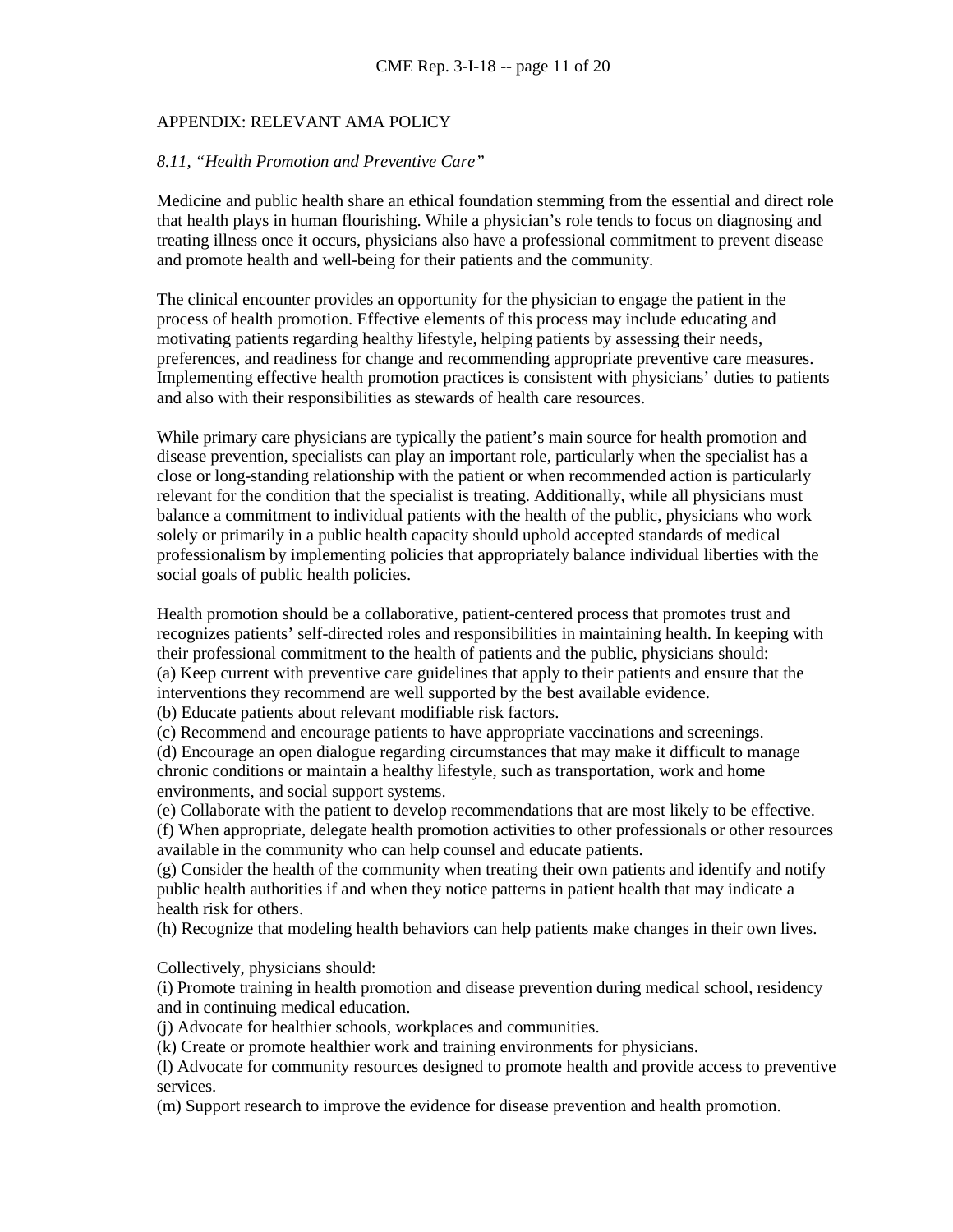### APPENDIX: RELEVANT AMA POLICY

#### *8.11, "Health Promotion and Preventive Care"*

Medicine and public health share an ethical foundation stemming from the essential and direct role that health plays in human flourishing. While a physician's role tends to focus on diagnosing and treating illness once it occurs, physicians also have a professional commitment to prevent disease and promote health and well-being for their patients and the community.

The clinical encounter provides an opportunity for the physician to engage the patient in the process of health promotion. Effective elements of this process may include educating and motivating patients regarding healthy lifestyle, helping patients by assessing their needs, preferences, and readiness for change and recommending appropriate preventive care measures. Implementing effective health promotion practices is consistent with physicians' duties to patients and also with their responsibilities as stewards of health care resources.

While primary care physicians are typically the patient's main source for health promotion and disease prevention, specialists can play an important role, particularly when the specialist has a close or long-standing relationship with the patient or when recommended action is particularly relevant for the condition that the specialist is treating. Additionally, while all physicians must balance a commitment to individual patients with the health of the public, physicians who work solely or primarily in a public health capacity should uphold accepted standards of medical professionalism by implementing policies that appropriately balance individual liberties with the social goals of public health policies.

Health promotion should be a collaborative, patient-centered process that promotes trust and recognizes patients' self-directed roles and responsibilities in maintaining health. In keeping with their professional commitment to the health of patients and the public, physicians should: (a) Keep current with preventive care guidelines that apply to their patients and ensure that the interventions they recommend are well supported by the best available evidence. (b) Educate patients about relevant modifiable risk factors.

(c) Recommend and encourage patients to have appropriate vaccinations and screenings.

(d) Encourage an open dialogue regarding circumstances that may make it difficult to manage chronic conditions or maintain a healthy lifestyle, such as transportation, work and home environments, and social support systems.

(e) Collaborate with the patient to develop recommendations that are most likely to be effective.

(f) When appropriate, delegate health promotion activities to other professionals or other resources available in the community who can help counsel and educate patients.

(g) Consider the health of the community when treating their own patients and identify and notify public health authorities if and when they notice patterns in patient health that may indicate a health risk for others.

(h) Recognize that modeling health behaviors can help patients make changes in their own lives.

Collectively, physicians should:

(i) Promote training in health promotion and disease prevention during medical school, residency and in continuing medical education.

(j) Advocate for healthier schools, workplaces and communities.

(k) Create or promote healthier work and training environments for physicians.

(l) Advocate for community resources designed to promote health and provide access to preventive services.

(m) Support research to improve the evidence for disease prevention and health promotion.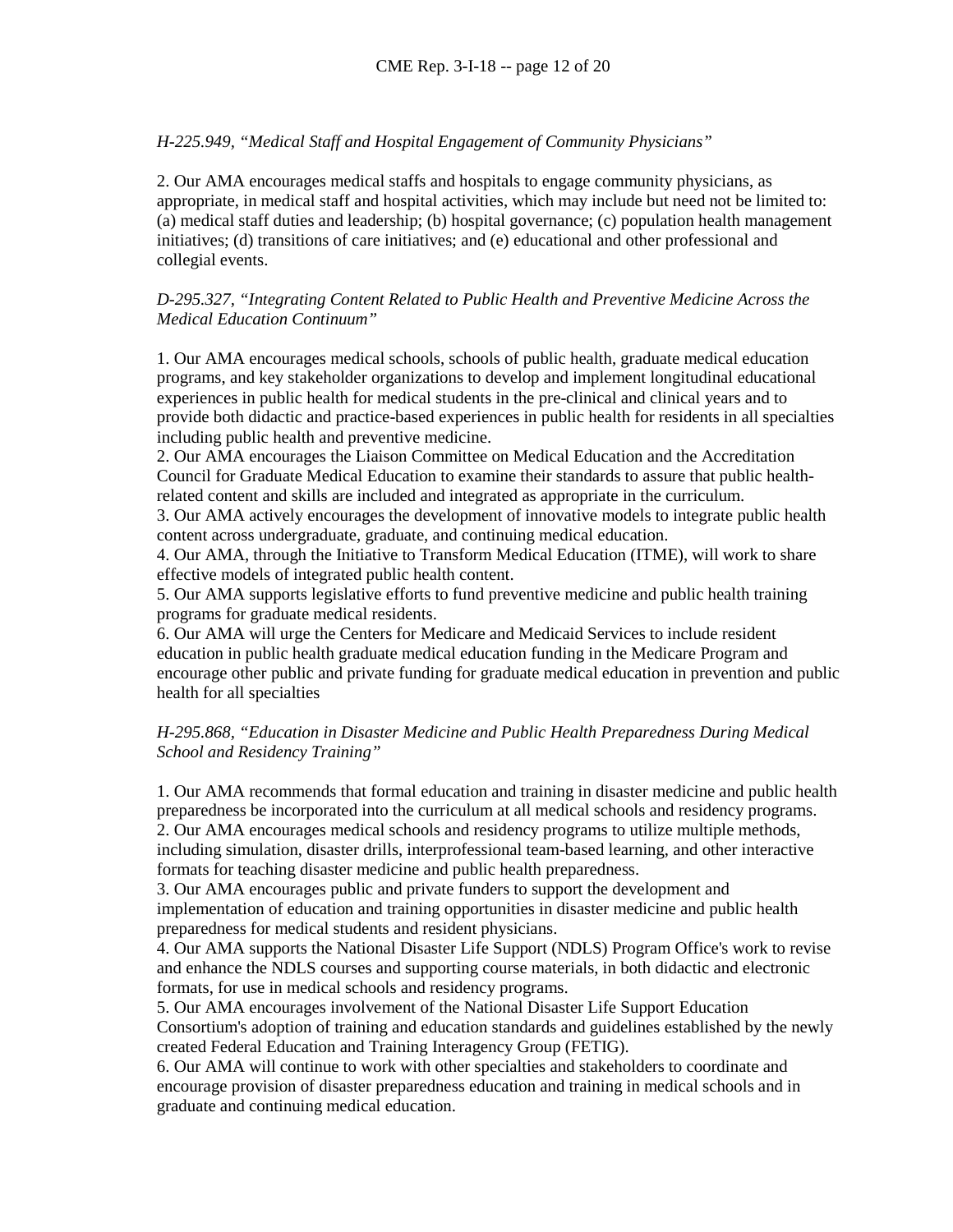### *H-225.949, "Medical Staff and Hospital Engagement of Community Physicians"*

2. Our AMA encourages medical staffs and hospitals to engage community physicians, as appropriate, in medical staff and hospital activities, which may include but need not be limited to: (a) medical staff duties and leadership; (b) hospital governance; (c) population health management initiatives; (d) transitions of care initiatives; and (e) educational and other professional and collegial events.

## *D-295.327, "Integrating Content Related to Public Health and Preventive Medicine Across the Medical Education Continuum"*

1. Our AMA encourages medical schools, schools of public health, graduate medical education programs, and key stakeholder organizations to develop and implement longitudinal educational experiences in public health for medical students in the pre-clinical and clinical years and to provide both didactic and practice-based experiences in public health for residents in all specialties including public health and preventive medicine.

2. Our AMA encourages the Liaison Committee on Medical Education and the Accreditation Council for Graduate Medical Education to examine their standards to assure that public healthrelated content and skills are included and integrated as appropriate in the curriculum.

3. Our AMA actively encourages the development of innovative models to integrate public health content across undergraduate, graduate, and continuing medical education.

4. Our AMA, through the Initiative to Transform Medical Education (ITME), will work to share effective models of integrated public health content.

5. Our AMA supports legislative efforts to fund preventive medicine and public health training programs for graduate medical residents.

6. Our AMA will urge the Centers for Medicare and Medicaid Services to include resident education in public health graduate medical education funding in the Medicare Program and encourage other public and private funding for graduate medical education in prevention and public health for all specialties

### *H-295.868, "Education in Disaster Medicine and Public Health Preparedness During Medical School and Residency Training"*

1. Our AMA recommends that formal education and training in disaster medicine and public health preparedness be incorporated into the curriculum at all medical schools and residency programs. 2. Our AMA encourages medical schools and residency programs to utilize multiple methods, including simulation, disaster drills, interprofessional team-based learning, and other interactive formats for teaching disaster medicine and public health preparedness.

3. Our AMA encourages public and private funders to support the development and implementation of education and training opportunities in disaster medicine and public health preparedness for medical students and resident physicians.

4. Our AMA supports the National Disaster Life Support (NDLS) Program Office's work to revise and enhance the NDLS courses and supporting course materials, in both didactic and electronic formats, for use in medical schools and residency programs.

5. Our AMA encourages involvement of the National Disaster Life Support Education Consortium's adoption of training and education standards and guidelines established by the newly created Federal Education and Training Interagency Group (FETIG).

6. Our AMA will continue to work with other specialties and stakeholders to coordinate and encourage provision of disaster preparedness education and training in medical schools and in graduate and continuing medical education.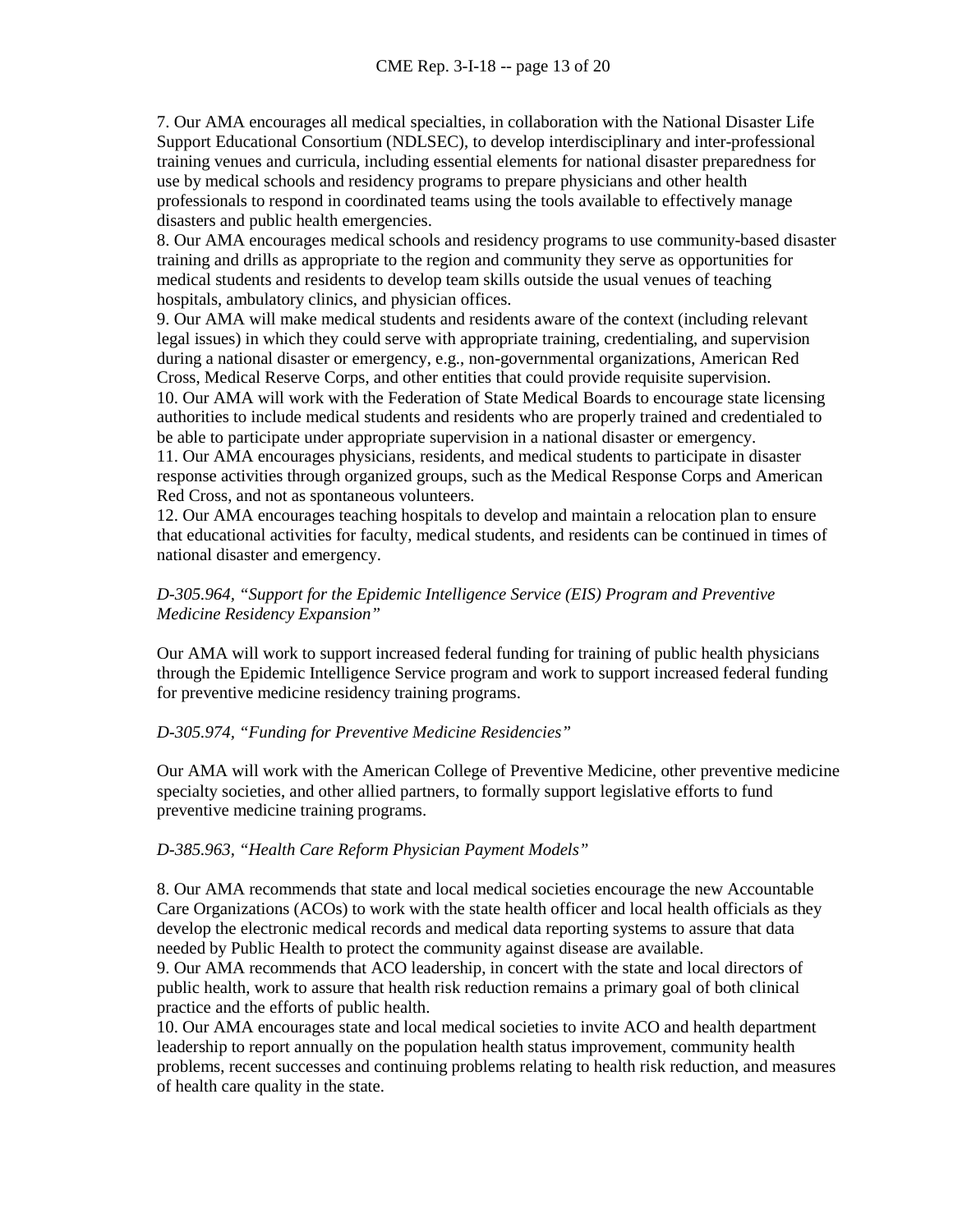7. Our AMA encourages all medical specialties, in collaboration with the National Disaster Life Support Educational Consortium (NDLSEC), to develop interdisciplinary and inter-professional training venues and curricula, including essential elements for national disaster preparedness for use by medical schools and residency programs to prepare physicians and other health professionals to respond in coordinated teams using the tools available to effectively manage disasters and public health emergencies.

8. Our AMA encourages medical schools and residency programs to use community-based disaster training and drills as appropriate to the region and community they serve as opportunities for medical students and residents to develop team skills outside the usual venues of teaching hospitals, ambulatory clinics, and physician offices.

9. Our AMA will make medical students and residents aware of the context (including relevant legal issues) in which they could serve with appropriate training, credentialing, and supervision during a national disaster or emergency, e.g., non-governmental organizations, American Red Cross, Medical Reserve Corps, and other entities that could provide requisite supervision. 10. Our AMA will work with the Federation of State Medical Boards to encourage state licensing authorities to include medical students and residents who are properly trained and credentialed to be able to participate under appropriate supervision in a national disaster or emergency.

11. Our AMA encourages physicians, residents, and medical students to participate in disaster response activities through organized groups, such as the Medical Response Corps and American Red Cross, and not as spontaneous volunteers.

12. Our AMA encourages teaching hospitals to develop and maintain a relocation plan to ensure that educational activities for faculty, medical students, and residents can be continued in times of national disaster and emergency.

### *D-305.964, "Support for the Epidemic Intelligence Service (EIS) Program and Preventive Medicine Residency Expansion"*

Our AMA will work to support increased federal funding for training of public health physicians through the Epidemic Intelligence Service program and work to support increased federal funding for preventive medicine residency training programs.

# *D-305.974, "Funding for Preventive Medicine Residencies"*

Our AMA will work with the American College of Preventive Medicine, other preventive medicine specialty societies, and other allied partners, to formally support legislative efforts to fund preventive medicine training programs.

### *D-385.963, "Health Care Reform Physician Payment Models"*

8. Our AMA recommends that state and local medical societies encourage the new Accountable Care Organizations (ACOs) to work with the state health officer and local health officials as they develop the electronic medical records and medical data reporting systems to assure that data needed by Public Health to protect the community against disease are available.

9. Our AMA recommends that ACO leadership, in concert with the state and local directors of public health, work to assure that health risk reduction remains a primary goal of both clinical practice and the efforts of public health.

10. Our AMA encourages state and local medical societies to invite ACO and health department leadership to report annually on the population health status improvement, community health problems, recent successes and continuing problems relating to health risk reduction, and measures of health care quality in the state.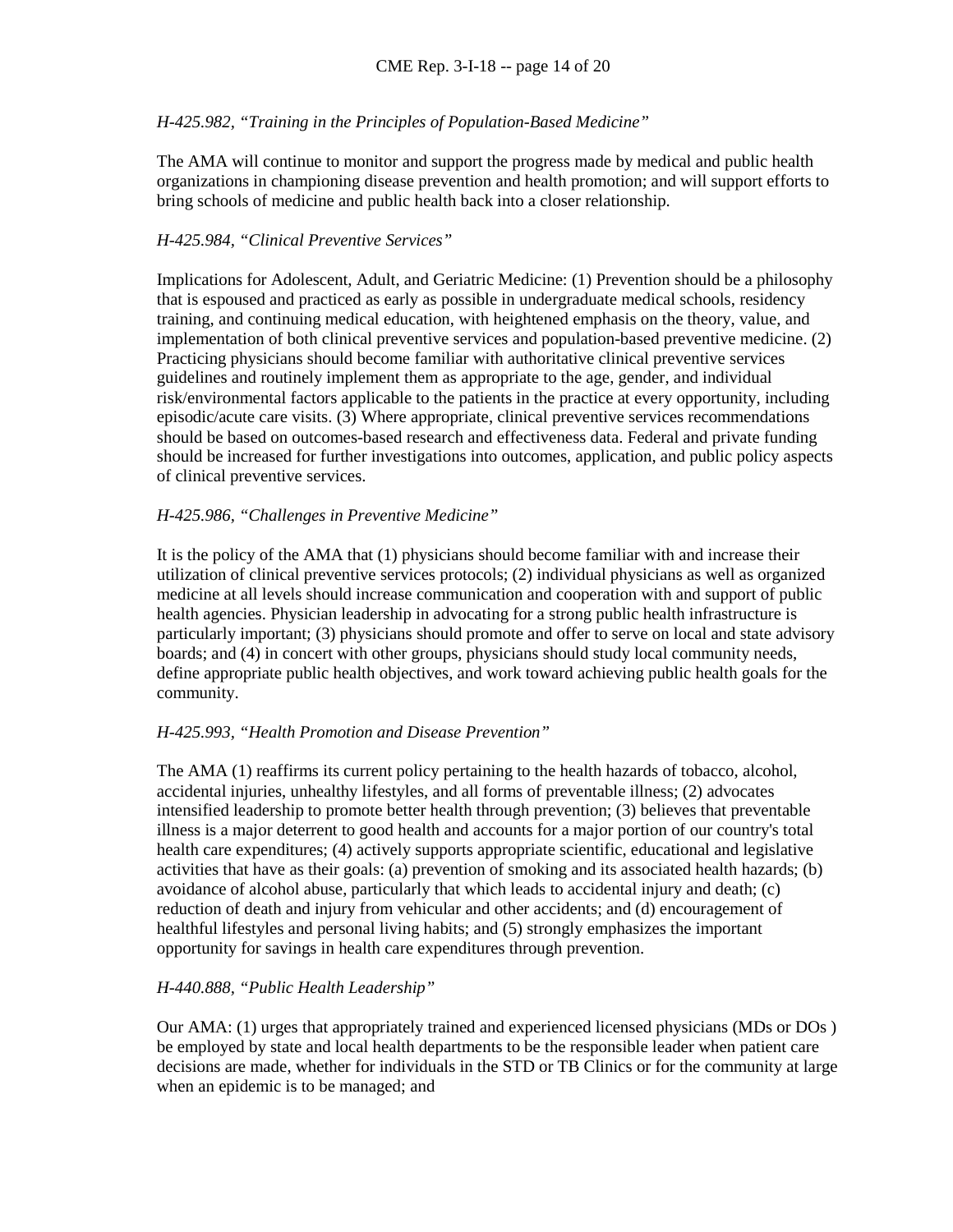## *H-425.982, "Training in the Principles of Population-Based Medicine"*

The AMA will continue to monitor and support the progress made by medical and public health organizations in championing disease prevention and health promotion; and will support efforts to bring schools of medicine and public health back into a closer relationship.

### *H-425.984, "Clinical Preventive Services"*

Implications for Adolescent, Adult, and Geriatric Medicine: (1) Prevention should be a philosophy that is espoused and practiced as early as possible in undergraduate medical schools, residency training, and continuing medical education, with heightened emphasis on the theory, value, and implementation of both clinical preventive services and population-based preventive medicine. (2) Practicing physicians should become familiar with authoritative clinical preventive services guidelines and routinely implement them as appropriate to the age, gender, and individual risk/environmental factors applicable to the patients in the practice at every opportunity, including episodic/acute care visits. (3) Where appropriate, clinical preventive services recommendations should be based on outcomes-based research and effectiveness data. Federal and private funding should be increased for further investigations into outcomes, application, and public policy aspects of clinical preventive services.

### *H-425.986, "Challenges in Preventive Medicine"*

It is the policy of the AMA that (1) physicians should become familiar with and increase their utilization of clinical preventive services protocols; (2) individual physicians as well as organized medicine at all levels should increase communication and cooperation with and support of public health agencies. Physician leadership in advocating for a strong public health infrastructure is particularly important; (3) physicians should promote and offer to serve on local and state advisory boards; and (4) in concert with other groups, physicians should study local community needs, define appropriate public health objectives, and work toward achieving public health goals for the community.

### *H-425.993, "Health Promotion and Disease Prevention"*

The AMA (1) reaffirms its current policy pertaining to the health hazards of tobacco, alcohol, accidental injuries, unhealthy lifestyles, and all forms of preventable illness; (2) advocates intensified leadership to promote better health through prevention; (3) believes that preventable illness is a major deterrent to good health and accounts for a major portion of our country's total health care expenditures; (4) actively supports appropriate scientific, educational and legislative activities that have as their goals: (a) prevention of smoking and its associated health hazards; (b) avoidance of alcohol abuse, particularly that which leads to accidental injury and death; (c) reduction of death and injury from vehicular and other accidents; and (d) encouragement of healthful lifestyles and personal living habits; and (5) strongly emphasizes the important opportunity for savings in health care expenditures through prevention.

# *H-440.888, "Public Health Leadership"*

Our AMA: (1) urges that appropriately trained and experienced licensed physicians (MDs or DOs ) be employed by state and local health departments to be the responsible leader when patient care decisions are made, whether for individuals in the STD or TB Clinics or for the community at large when an epidemic is to be managed; and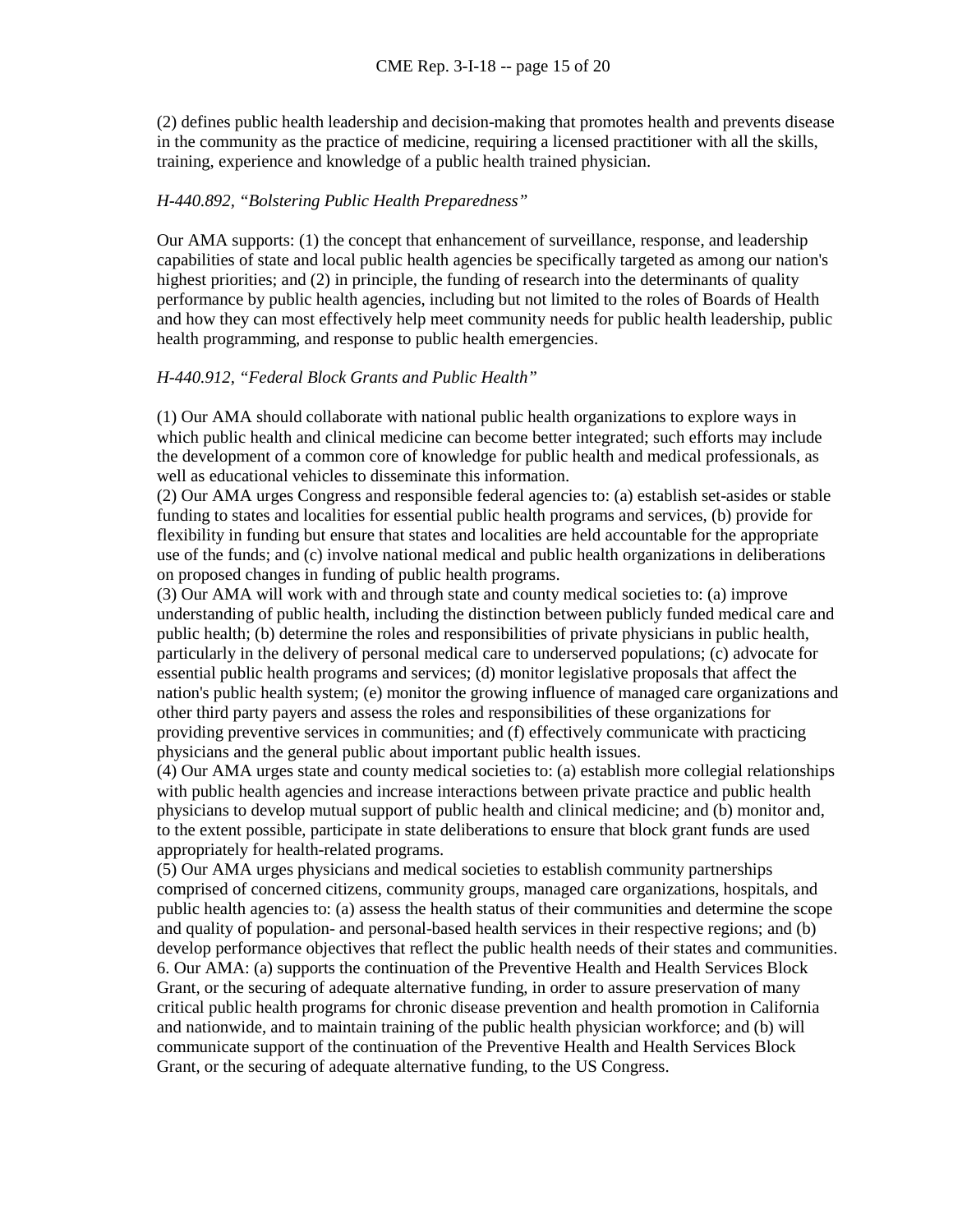(2) defines public health leadership and decision-making that promotes health and prevents disease in the community as the practice of medicine, requiring a licensed practitioner with all the skills, training, experience and knowledge of a public health trained physician.

#### *H-440.892, "Bolstering Public Health Preparedness"*

Our AMA supports: (1) the concept that enhancement of surveillance, response, and leadership capabilities of state and local public health agencies be specifically targeted as among our nation's highest priorities; and (2) in principle, the funding of research into the determinants of quality performance by public health agencies, including but not limited to the roles of Boards of Health and how they can most effectively help meet community needs for public health leadership, public health programming, and response to public health emergencies.

#### *H-440.912, "Federal Block Grants and Public Health"*

(1) Our AMA should collaborate with national public health organizations to explore ways in which public health and clinical medicine can become better integrated; such efforts may include the development of a common core of knowledge for public health and medical professionals, as well as educational vehicles to disseminate this information.

(2) Our AMA urges Congress and responsible federal agencies to: (a) establish set-asides or stable funding to states and localities for essential public health programs and services, (b) provide for flexibility in funding but ensure that states and localities are held accountable for the appropriate use of the funds; and (c) involve national medical and public health organizations in deliberations on proposed changes in funding of public health programs.

(3) Our AMA will work with and through state and county medical societies to: (a) improve understanding of public health, including the distinction between publicly funded medical care and public health; (b) determine the roles and responsibilities of private physicians in public health, particularly in the delivery of personal medical care to underserved populations; (c) advocate for essential public health programs and services; (d) monitor legislative proposals that affect the nation's public health system; (e) monitor the growing influence of managed care organizations and other third party payers and assess the roles and responsibilities of these organizations for providing preventive services in communities; and (f) effectively communicate with practicing physicians and the general public about important public health issues.

(4) Our AMA urges state and county medical societies to: (a) establish more collegial relationships with public health agencies and increase interactions between private practice and public health physicians to develop mutual support of public health and clinical medicine; and (b) monitor and, to the extent possible, participate in state deliberations to ensure that block grant funds are used appropriately for health-related programs.

(5) Our AMA urges physicians and medical societies to establish community partnerships comprised of concerned citizens, community groups, managed care organizations, hospitals, and public health agencies to: (a) assess the health status of their communities and determine the scope and quality of population- and personal-based health services in their respective regions; and (b) develop performance objectives that reflect the public health needs of their states and communities. 6. Our AMA: (a) supports the continuation of the Preventive Health and Health Services Block Grant, or the securing of adequate alternative funding, in order to assure preservation of many critical public health programs for chronic disease prevention and health promotion in California and nationwide, and to maintain training of the public health physician workforce; and (b) will communicate support of the continuation of the Preventive Health and Health Services Block Grant, or the securing of adequate alternative funding, to the US Congress.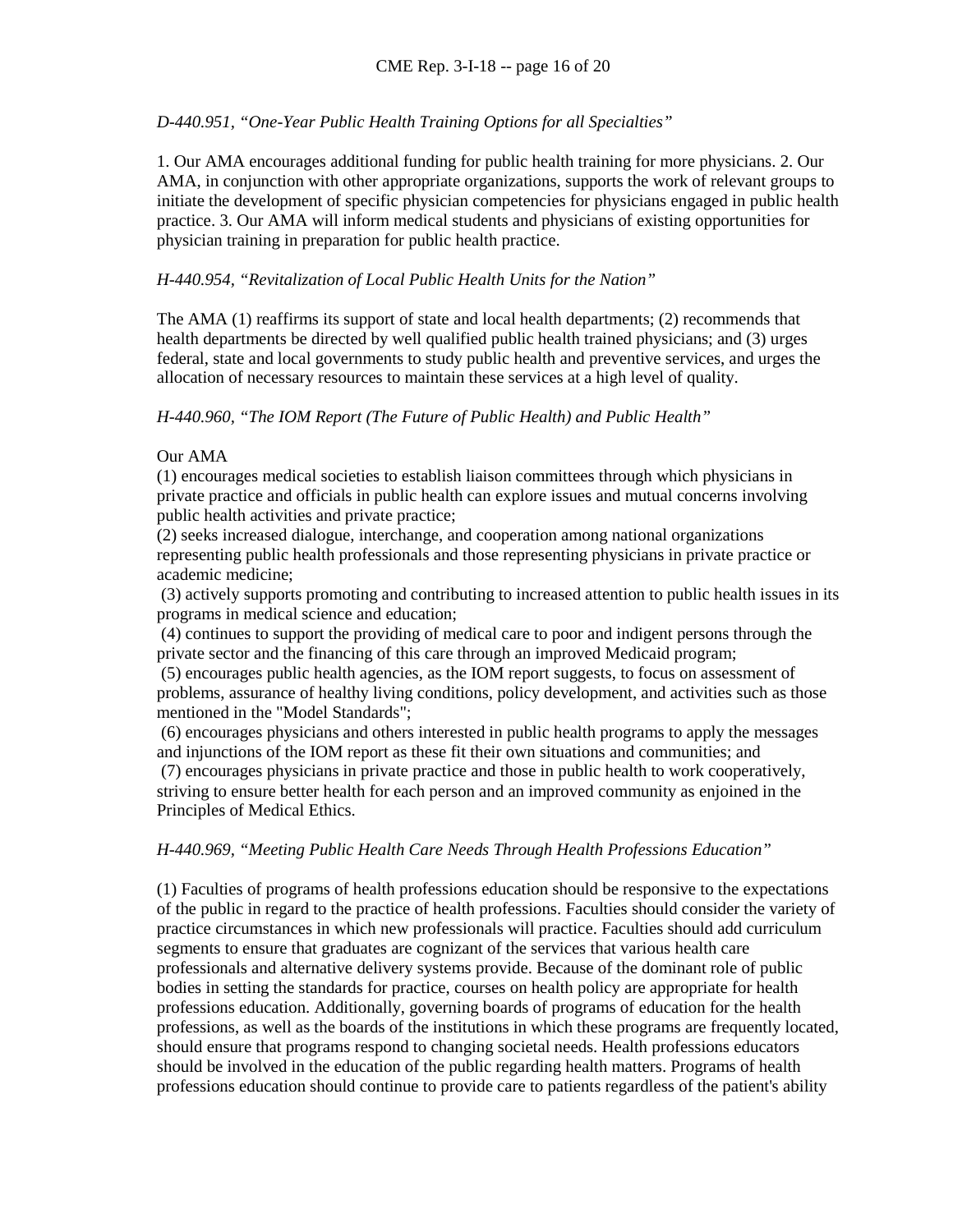*D-440.951, "One-Year Public Health Training Options for all Specialties"* 

1. Our AMA encourages additional funding for public health training for more physicians. 2. Our AMA, in conjunction with other appropriate organizations, supports the work of relevant groups to initiate the development of specific physician competencies for physicians engaged in public health practice. 3. Our AMA will inform medical students and physicians of existing opportunities for physician training in preparation for public health practice.

### *H-440.954, "Revitalization of Local Public Health Units for the Nation"*

The AMA (1) reaffirms its support of state and local health departments; (2) recommends that health departments be directed by well qualified public health trained physicians; and (3) urges federal, state and local governments to study public health and preventive services, and urges the allocation of necessary resources to maintain these services at a high level of quality.

### *H-440.960, "The IOM Report (The Future of Public Health) and Public Health"*

### Our AMA

(1) encourages medical societies to establish liaison committees through which physicians in private practice and officials in public health can explore issues and mutual concerns involving public health activities and private practice;

(2) seeks increased dialogue, interchange, and cooperation among national organizations representing public health professionals and those representing physicians in private practice or academic medicine;

(3) actively supports promoting and contributing to increased attention to public health issues in its programs in medical science and education;

(4) continues to support the providing of medical care to poor and indigent persons through the private sector and the financing of this care through an improved Medicaid program;

(5) encourages public health agencies, as the IOM report suggests, to focus on assessment of problems, assurance of healthy living conditions, policy development, and activities such as those mentioned in the "Model Standards";

(6) encourages physicians and others interested in public health programs to apply the messages and injunctions of the IOM report as these fit their own situations and communities; and

(7) encourages physicians in private practice and those in public health to work cooperatively, striving to ensure better health for each person and an improved community as enjoined in the Principles of Medical Ethics.

### *H-440.969, "Meeting Public Health Care Needs Through Health Professions Education"*

(1) Faculties of programs of health professions education should be responsive to the expectations of the public in regard to the practice of health professions. Faculties should consider the variety of practice circumstances in which new professionals will practice. Faculties should add curriculum segments to ensure that graduates are cognizant of the services that various health care professionals and alternative delivery systems provide. Because of the dominant role of public bodies in setting the standards for practice, courses on health policy are appropriate for health professions education. Additionally, governing boards of programs of education for the health professions, as well as the boards of the institutions in which these programs are frequently located, should ensure that programs respond to changing societal needs. Health professions educators should be involved in the education of the public regarding health matters. Programs of health professions education should continue to provide care to patients regardless of the patient's ability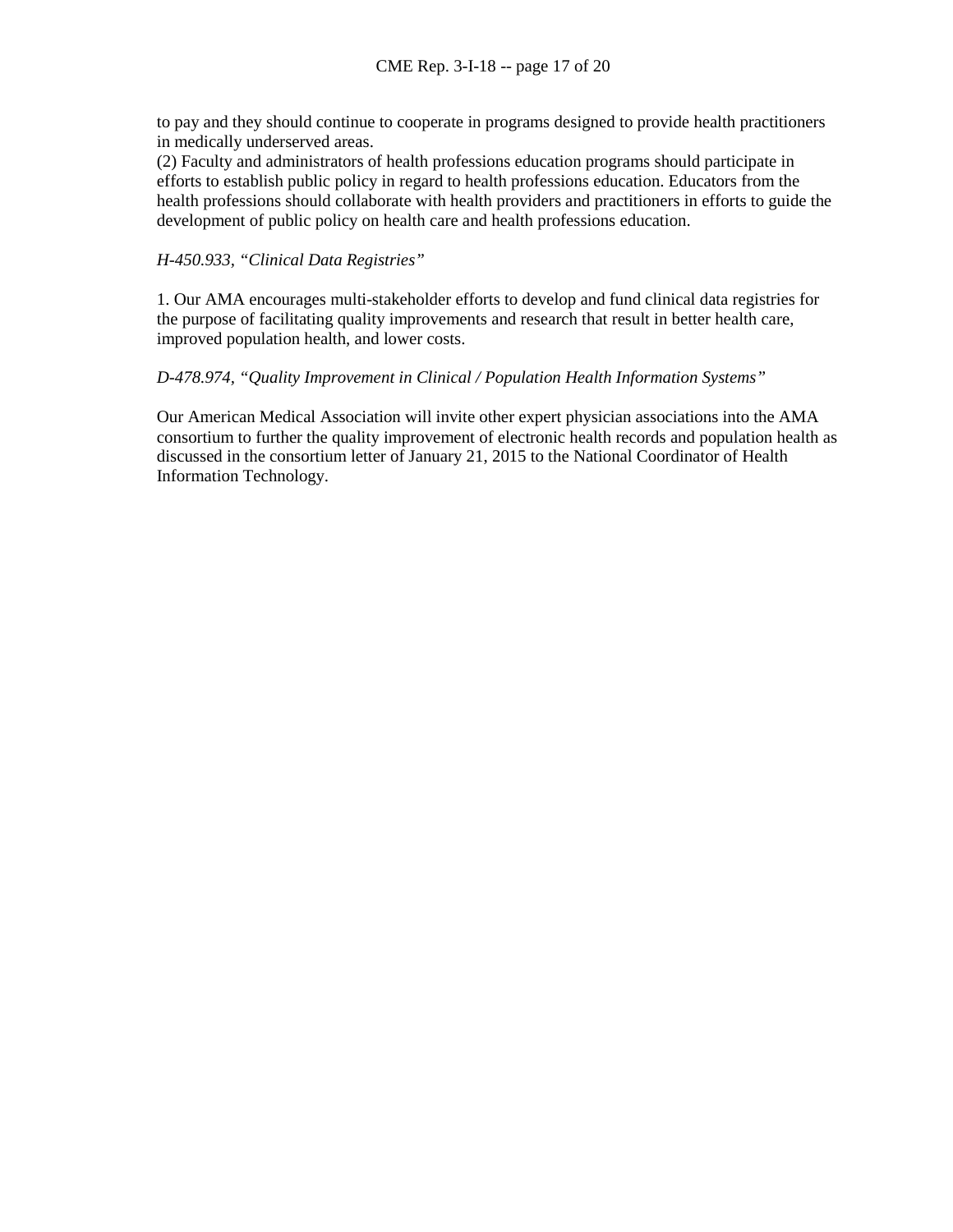to pay and they should continue to cooperate in programs designed to provide health practitioners in medically underserved areas.

(2) Faculty and administrators of health professions education programs should participate in efforts to establish public policy in regard to health professions education. Educators from the health professions should collaborate with health providers and practitioners in efforts to guide the development of public policy on health care and health professions education.

### *H-450.933, "Clinical Data Registries"*

1. Our AMA encourages multi-stakeholder efforts to develop and fund clinical data registries for the purpose of facilitating quality improvements and research that result in better health care, improved population health, and lower costs.

### *D-478.974, "Quality Improvement in Clinical / Population Health Information Systems"*

Our American Medical Association will invite other expert physician associations into the AMA consortium to further the quality improvement of electronic health records and population health as discussed in the consortium letter of January 21, 2015 to the National Coordinator of Health Information Technology.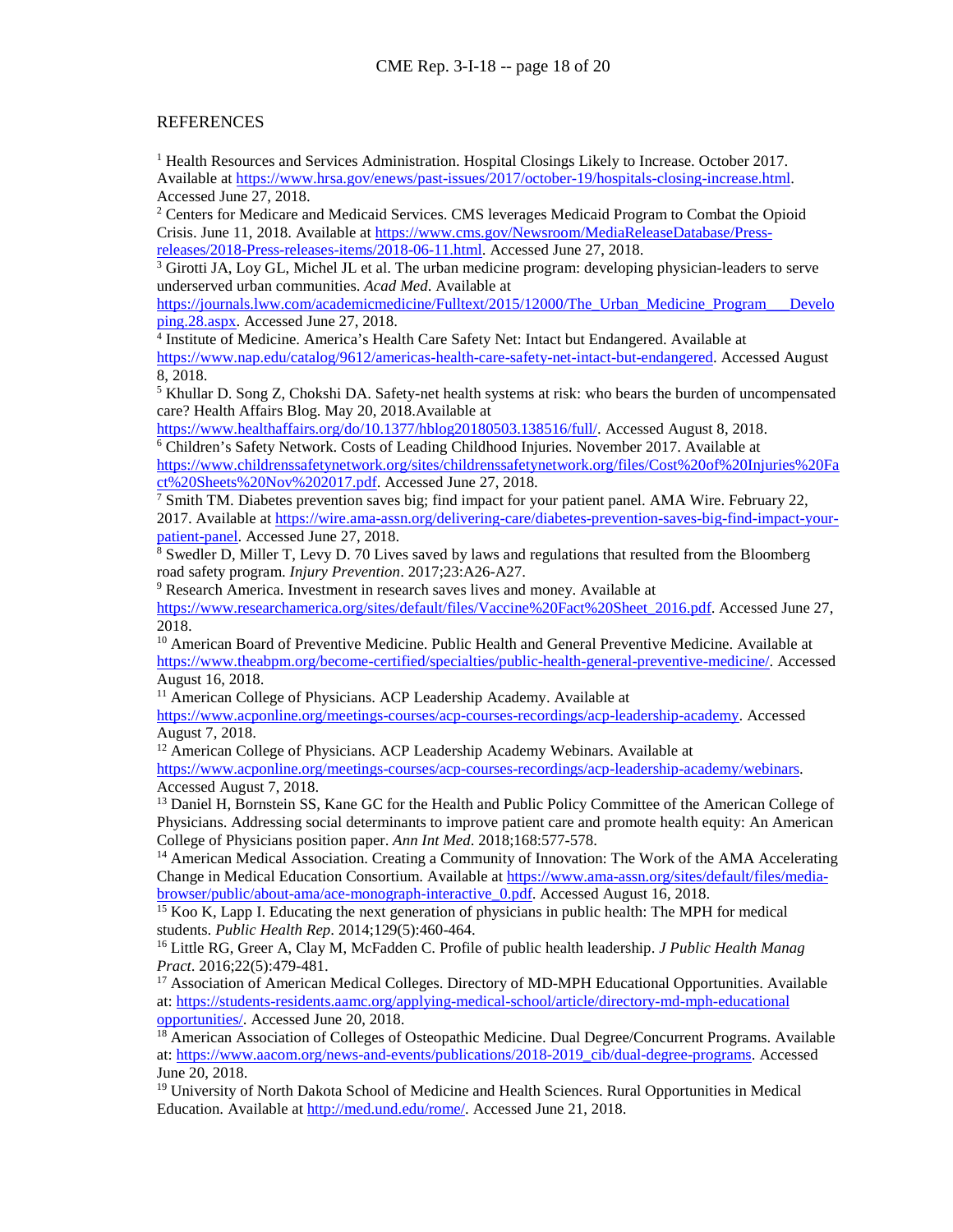#### REFERENCES

<sup>1</sup> Health Resources and Services Administration. Hospital Closings Likely to Increase. October 2017. Available at [https://www.hrsa.gov/enews/past-issues/2017/october-19/hospitals-closing-increase.html.](https://www.hrsa.gov/enews/past-issues/2017/october-19/hospitals-closing-increase.html) Accessed June 27, 2018.

<sup>2</sup> Centers for Medicare and Medicaid Services. CMS leverages Medicaid Program to Combat the Opioid Crisis. June 11, 2018. Available at [https://www.cms.gov/Newsroom/MediaReleaseDatabase/Press](https://www.cms.gov/Newsroom/MediaReleaseDatabase/Press-releases/2018-Press-releases-items/2018-06-11.html)[releases/2018-Press-releases-items/2018-06-11.html.](https://www.cms.gov/Newsroom/MediaReleaseDatabase/Press-releases/2018-Press-releases-items/2018-06-11.html) Accessed June 27, 2018.

<sup>3</sup> Girotti JA, Loy GL, Michel JL et al. The urban medicine program: developing physician-leaders to serve underserved urban communities. *Acad Med*. Available at

[https://journals.lww.com/academicmedicine/Fulltext/2015/12000/The\\_Urban\\_Medicine\\_Program\\_\\_\\_Develo](https://journals.lww.com/academicmedicine/Fulltext/2015/12000/The_Urban_Medicine_Program___Developing.28.aspx) [ping.28.aspx.](https://journals.lww.com/academicmedicine/Fulltext/2015/12000/The_Urban_Medicine_Program___Developing.28.aspx) Accessed June 27, 2018.

<sup>4</sup> Institute of Medicine. America's Health Care Safety Net: Intact but Endangered. Available at [https://www.nap.edu/catalog/9612/americas-health-care-safety-net-intact-but-endangered.](https://www.nap.edu/catalog/9612/americas-health-care-safety-net-intact-but-endangered) Accessed August 8, 2018.

<sup>5</sup> Khullar D. Song Z, Chokshi DA. Safety-net health systems at risk: who bears the burden of uncompensated care? Health Affairs Blog. May 20, 2018.Available at https://www.healthaffairs.org/do/10.1377/hblog20180503.138516/full/. Accessed August 8, 2018.

 $6$  Children's Safety Network. Costs of Leading Childhood Injuries. November 2017. Available at [https://www.childrenssafetynetwork.org/sites/childrenssafetynetwork.org/files/Cost%20of%20Injuries%20Fa](https://www.childrenssafetynetwork.org/sites/childrenssafetynetwork.org/files/Cost%20of%20Injuries%20Fact%20Sheets%20Nov%202017.pdf) [ct%20Sheets%20Nov%202017.pdf.](https://www.childrenssafetynetwork.org/sites/childrenssafetynetwork.org/files/Cost%20of%20Injuries%20Fact%20Sheets%20Nov%202017.pdf) Accessed June 27, 2018.

 $\frac{7}{7}$  Smith TM. Diabetes prevention saves big; find impact for your patient panel. AMA Wire. February 22, 2017. Available at [https://wire.ama-assn.org/delivering-care/diabetes-prevention-saves-big-find-impact-your](https://wire.ama-assn.org/delivering-care/diabetes-prevention-saves-big-find-impact-your-patient-panel)[patient-panel.](https://wire.ama-assn.org/delivering-care/diabetes-prevention-saves-big-find-impact-your-patient-panel) Accessed June 27, 2018.<br><sup>8</sup> Swedler D, Miller T, Levy D. 70 Lives saved by laws and regulations that resulted from the Bloomberg

road safety program. *Injury Prevention*. 2017;23:A26-A27.

<sup>9</sup> Research America. Investment in research saves lives and money. Available at

[https://www.researchamerica.org/sites/default/files/Vaccine%20Fact%20Sheet\\_2016.pdf.](https://www.researchamerica.org/sites/default/files/Vaccine%20Fact%20Sheet_2016.pdf) Accessed June 27, 2018.

<sup>10</sup> American Board of Preventive Medicine. Public Health and General Preventive Medicine. Available at [https://www.theabpm.org/become-certified/specialties/public-health-general-preventive-medicine/.](https://www.theabpm.org/become-certified/specialties/public-health-general-preventive-medicine/) Accessed August 16, 2018.

<sup>11</sup> American College of Physicians. ACP Leadership Academy. Available at

[https://www.acponline.org/meetings-courses/acp-courses-recordings/acp-leadership-academy.](https://www.acponline.org/meetings-courses/acp-courses-recordings/acp-leadership-academy) Accessed August 7, 2018.

<sup>12</sup> American College of Physicians. ACP Leadership Academy Webinars. Available at

[https://www.acponline.org/meetings-courses/acp-courses-recordings/acp-leadership-academy/webinars.](https://www.acponline.org/meetings-courses/acp-courses-recordings/acp-leadership-academy/webinars) Accessed August 7, 2018.

<sup>13</sup> Daniel H, Bornstein SS, Kane GC for the Health and Public Policy Committee of the American College of Physicians. Addressing social determinants to improve patient care and promote health equity: An American College of Physicians position paper. *Ann Int Med.* 2018;168:577-578.<br><sup>14</sup> American Medical Association. Creating a Community of Innovation: The Work of the AMA Accelerating

Change in Medical Education Consortium. Available a[t https://www.ama-assn.org/sites/default/files/media](https://www.ama-assn.org/sites/default/files/media-browser/public/about-ama/ace-monograph-interactive_0.pdf)[browser/public/about-ama/ace-monograph-interactive\\_0.pdf.](https://www.ama-assn.org/sites/default/files/media-browser/public/about-ama/ace-monograph-interactive_0.pdf) Accessed August 16, 2018.

<sup>15</sup> Koo K, Lapp I. Educating the next generation of physicians in public health: The MPH for medical students. *Public Health Rep.* 2014;129(5):460-464.<br><sup>16</sup> Little RG, Greer A, Clay M, McFadden C. Profile of public health leadership. *J Public Health Manag* 

*Pract*. 2016;22(5):479-481.

<sup>17</sup> Association of American Medical Colleges. Directory of MD-MPH Educational Opportunities. Available at: [https://students-residents.aamc.org/applying-medical-school/article/directory-md-mph-educational](https://students-residents.aamc.org/applying-medical-school/article/directory-md-mph-educational%20opportunities/)  [opportunities/.](https://students-residents.aamc.org/applying-medical-school/article/directory-md-mph-educational%20opportunities/) Accessed June 20, 2018.

<sup>18</sup> American Association of Colleges of Osteopathic Medicine. Dual Degree/Concurrent Programs. Available at: [https://www.aacom.org/news-and-events/publications/2018-2019\\_cib/dual-degree-programs.](https://www.aacom.org/news-and-events/publications/2018-2019_cib/dual-degree-programs) Accessed June 20, 2018.

<sup>19</sup> University of North Dakota School of Medicine and Health Sciences. Rural Opportunities in Medical Education. Available at [http://med.und.edu/rome/.](http://med.und.edu/rome/) Accessed June 21, 2018.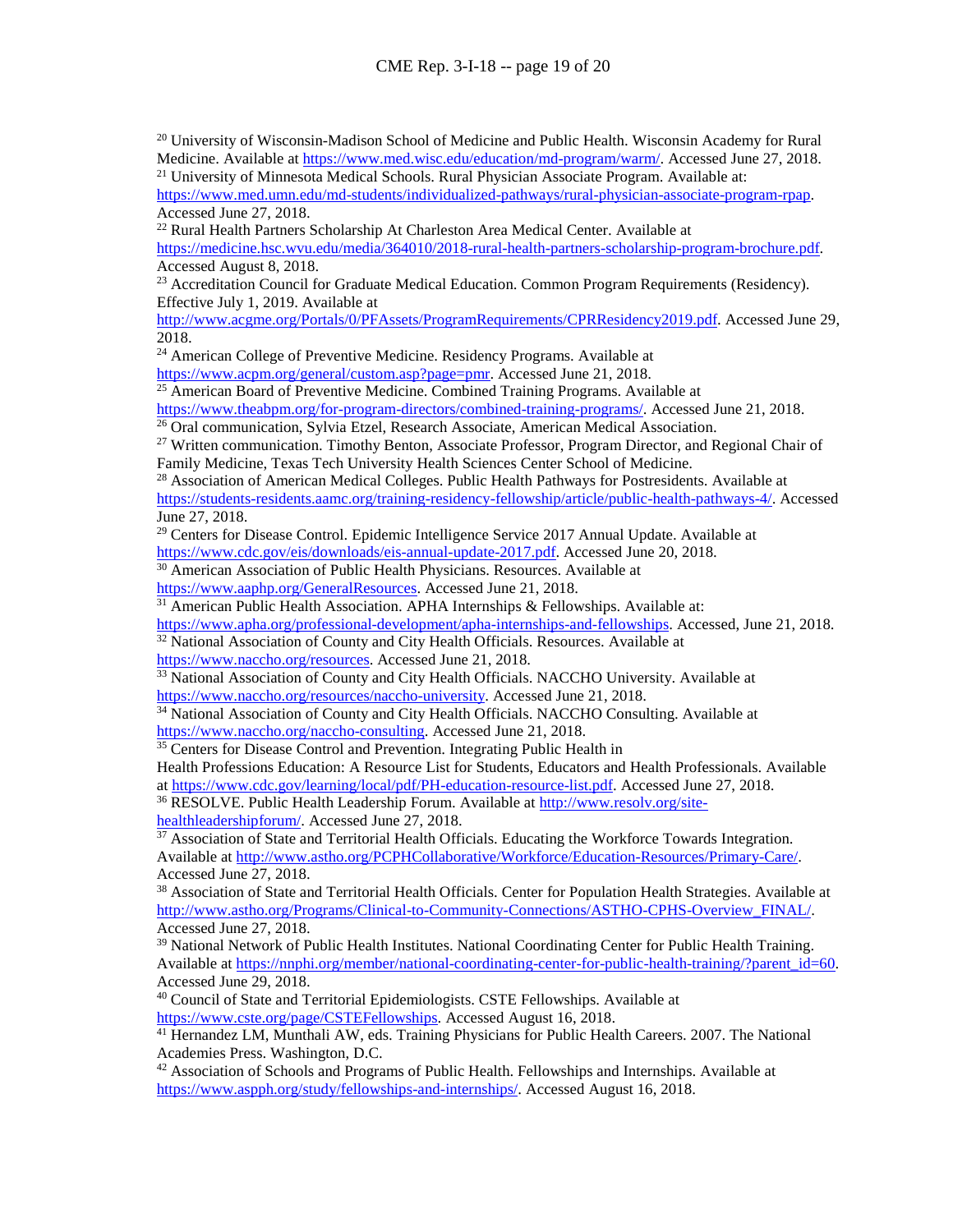<span id="page-19-0"></span><sup>20</sup> University of Wisconsin-Madison School of Medicine and Public Health. Wisconsin Academy for Rural Medicine. Available at https://www.med.wisc.edu/education/md-program/warm/. Accessed June 27, 2018. <sup>21</sup> University of Minnesota Medical Schools. Rural Physician Associate Program. Available at:

[https://www.med.umn.edu/md-students/individualized-pathways/rural-physician-associate-program-rpap.](https://www.med.umn.edu/md-students/individualized-pathways/rural-physician-associate-program-rpap) Accessed June 27, 2018.

<span id="page-19-1"></span><sup>22</sup> Rural Health Partners Scholarship At Charleston Area Medical Center. Available at [https://medicine.hsc.wvu.edu/media/364010/2018-rural-health-partners-scholarship-program-brochure.pdf.](https://medicine.hsc.wvu.edu/media/364010/2018-rural-health-partners-scholarship-program-brochure.pdf) Accessed August 8, 2018.

<span id="page-19-2"></span><sup>23</sup> Accreditation Council for Graduate Medical Education. Common Program Requirements (Residency). Effective July 1, 2019. Available at

[http://www.acgme.org/Portals/0/PFAssets/ProgramRequirements/CPRResidency2019.pdf.](http://www.acgme.org/Portals/0/PFAssets/ProgramRequirements/CPRResidency2019.pdf) Accessed June 29, 2018.

<span id="page-19-3"></span> $24$  American College of Preventive Medicine. Residency Programs. Available at

<span id="page-19-4"></span>[https://www.acpm.org/general/custom.asp?page=pmr.](https://www.acpm.org/general/custom.asp?page=pmr) Accessed June 21, 2018.<br><sup>25</sup> American Board of Preventive Medicine. Combined Training Programs. Available at https://www.theabpm.org/for-program-directors/combined-training

<sup>26</sup> Oral communication, Sylvia Etzel, Research Associate, American Medical Association.

<span id="page-19-5"></span><sup>27</sup> Written communication. Timothy Benton, Associate Professor, Program Director, and Regional Chair of Family Medicine, Texas Tech University Health Sciences Center School of Medicine.

<span id="page-19-6"></span><sup>28</sup> Association of American Medical Colleges. Public Health Pathways for Postresidents. Available at [https://students-residents.aamc.org/training-residency-fellowship/article/public-health-pathways-4/.](https://students-residents.aamc.org/training-residency-fellowship/article/public-health-pathways-4/) Accessed June 27, 2018.

<sup>29</sup> Centers for Disease Control. Epidemic Intelligence Service 2017 Annual Update. Available at

<span id="page-19-7"></span>[https://www.cdc.gov/eis/downloads/eis-annual-update-2017.pdf.](https://www.cdc.gov/eis/downloads/eis-annual-update-2017.pdf) Accessed June 20, 2018.<br><sup>30</sup> American Association of Public Health Physicians. Resources. Available at https://www.aaphp.org/GeneralResources. Accessed June 21,

<span id="page-19-8"></span><sup>31</sup> American Public Health Association. APHA Internships & Fellowships. Available at:<br> $\frac{https://www.apha.org/professional-development/apha-internships-and-fellowships}{}$ . Accessed, June 21, 2018.

<span id="page-19-9"></span> $\frac{32}{32}$  National Association of County and City Health Officials. Resources. Available at https://www.naccho.org/resources. Accessed June 21, 2018.

 $^{33}$  National Association of County and City Health Officials. NACCHO University. Available at https://www.naccho.org/resources/naccho-university. Accessed June 21, 2018.

<span id="page-19-10"></span><sup>34</sup> National Association of County and City Health Officials. NACCHO Consulting. Available at [https://www.naccho.org/naccho-consulting.](https://www.naccho.org/naccho-consulting) Accessed June 21, 2018.

<span id="page-19-11"></span><sup>35</sup> Centers for Disease Control and Prevention. Integrating Public Health in

Health Professions Education: A Resource List for Students, Educators and Health Professionals. Available

a[t https://www.cdc.gov/learning/local/pdf/PH-education-resource-list.pdf.](https://www.cdc.gov/learning/local/pdf/PH-education-resource-list.pdf) Accessed June 27, 2018.<br><sup>36</sup> RESOLVE. Public Health Leadership Forum. Available at http://www.resolv.org/site-

<span id="page-19-13"></span><span id="page-19-12"></span>[healthleadershipforum/.](http://www.resolv.org/site-healthleadershipforum/) Accessed June 27, 2018.<br> $\frac{37}{37}$  Association of State and Territorial Health Officials. Educating the Workforce Towards Integration. Available at [http://www.astho.org/PCPHCollaborative/Workforce/Education-Resources/Primary-Care/.](http://www.astho.org/PCPHCollaborative/Workforce/Education-Resources/Primary-Care/) Accessed June 27, 2018.<br><sup>38</sup> Association of State and Territorial Health Officials. Center for Population Health Strategies. Available at

<span id="page-19-14"></span>[http://www.astho.org/Programs/Clinical-to-Community-Connections/ASTHO-CPHS-Overview\\_FINAL/.](http://www.astho.org/Programs/Clinical-to-Community-Connections/ASTHO-CPHS-Overview_FINAL/)  Accessed June 27, 2018.

<span id="page-19-15"></span><sup>39</sup> National Network of Public Health Institutes. National Coordinating Center for Public Health Training. Available at [https://nnphi.org/member/national-coordinating-center-for-public-health-training/?parent\\_id=60.](https://nnphi.org/member/national-coordinating-center-for-public-health-training/?parent_id=60) Accessed June 29, 2018.

<span id="page-19-16"></span><sup>40</sup> Council of State and Territorial Epidemiologists. CSTE Fellowships. Available at [https://www.cste.org/page/CSTEFellowships.](https://www.cste.org/page/CSTEFellowships) Accessed August 16, 2018.

<span id="page-19-17"></span><sup>41</sup> Hernandez LM, Munthali AW, eds. Training Physicians for Public Health Careers. 2007. The National Academies Press. Washington, D.C.

<span id="page-19-18"></span><sup>42</sup> Association of Schools and Programs of Public Health. Fellowships and Internships. Available at [https://www.aspph.org/study/fellowships-and-internships/.](https://www.aspph.org/study/fellowships-and-internships/) Accessed August 16, 2018.